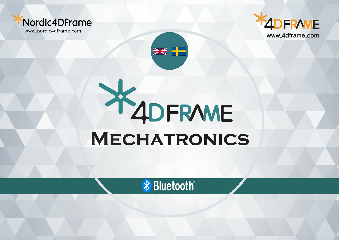





## X 4DFRWE **MECHATRONICS**

**\*** Bluetooth®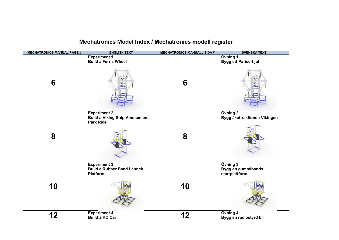## **Mechatronics Model Index / Mechatronics modell register**

| <b>MECHATRONICS MANUAL PAGE #</b> | <b>ENGLISH TEXT</b>                                                             | <b>MECHATRONICS MANUALL SIDA #</b> | <b>SVENSKA TEXT</b>                               |
|-----------------------------------|---------------------------------------------------------------------------------|------------------------------------|---------------------------------------------------|
|                                   | <b>Experiment 1</b>                                                             |                                    | Övning 1                                          |
|                                   | <b>Build a Ferris Wheel</b>                                                     |                                    | <b>Bygg ett Pariserhjul</b>                       |
| 6                                 |                                                                                 | 6                                  |                                                   |
| 8                                 | <b>Experiment 2</b><br><b>Build a Viking Ship Amusement</b><br><b>Park Ride</b> | 8                                  | Övning 2<br>Bygg åkattraktionen Vikingen          |
| 10                                | <b>Experiment 3</b><br><b>Build a Rubber Band Launch</b><br><b>Platform</b>     | 10                                 | Övning 3<br>Bygg en gummibands<br>startplattform. |
| 12                                | <b>Experiment 4</b><br><b>Build a RC Car</b>                                    | 12                                 | Övning 4<br>Bygg en radiostyrd bil                |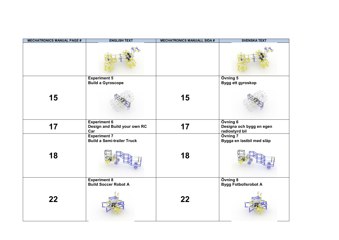| <b>MECHATRONICS MANUAL PAGE #</b> | <b>ENGLISH TEXT</b>                                        | <b>MECHATRONICS MANUALL SIDA #</b> | <b>SVENSKA TEXT</b>                                    |
|-----------------------------------|------------------------------------------------------------|------------------------------------|--------------------------------------------------------|
|                                   |                                                            |                                    |                                                        |
|                                   | <b>Experiment 5</b>                                        |                                    | Övning 5                                               |
| 15                                | <b>Build a Gyroscope</b>                                   | 15                                 | Bygg ett gyroskop                                      |
| 17                                | <b>Experiment 6</b><br>Design and Build your own RC<br>Car | 17                                 | Övning 6<br>Designa och bygg en egen<br>radiostyrd bil |
| 18                                | <b>Experiment 7</b><br><b>Build a Semi-trailer Truck</b>   | 18                                 | Övning 7<br>Bygga en lastbil med släp                  |
| 22                                | <b>Experiment 8</b><br><b>Build Soccer Robot A</b>         | 22                                 | Övning 8<br><b>Bygg Fotbollsrobot A</b>                |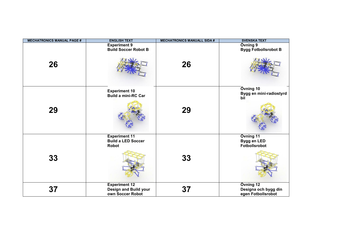| <b>MECHATRONICS MANUAL PAGE #</b> | <b>ENGLISH TEXT</b>                                               | <b>MECHATRONICS MANUALL SIDA #</b> | <b>SVENSKA TEXT</b>                                     |
|-----------------------------------|-------------------------------------------------------------------|------------------------------------|---------------------------------------------------------|
| 26                                | <b>Experiment 9</b><br><b>Build Soccer Robot B</b>                | 26                                 | Övning 9<br><b>Bygg Fotbollsrobot B</b>                 |
| 29                                | <b>Experiment 10</b><br><b>Build a mini-RC Car</b>                | 29                                 | Övning 10<br>Bygg en mini-radiostyrd<br>bil             |
| 33                                | <b>Experiment 11</b><br><b>Build a LED Soccer</b><br><b>Robot</b> | 33                                 | Övning 11<br>Bygg en LED<br><b>Fotbollsrobot</b>        |
| 37                                | <b>Experiment 12</b><br>Design and Build your<br>own Soccer Robot | 37                                 | Övning 12<br>Designa och bygg din<br>egen Fotbollsrobot |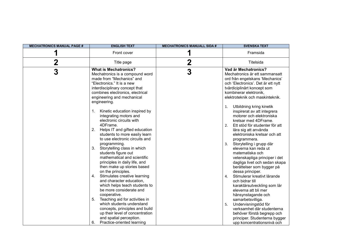| <b>MECHATRONICS MANUAL PAGE #</b> | <b>ENGLISH TEXT</b>                                                                                                                                                                                                                                                                                                                                                                                                                                                                                                                                                                                                                                                                                                                                                                                                                                                                                                                                                                  | <b>MECHATRONICS MANUALL SIDA #</b> | <b>SVENSKA TEXT</b>                                                                                                                                                                                                                                                                                                                                                                                                                                                                                                                                                                                                                                                                                                                                                                                                                                                                                                                                |
|-----------------------------------|--------------------------------------------------------------------------------------------------------------------------------------------------------------------------------------------------------------------------------------------------------------------------------------------------------------------------------------------------------------------------------------------------------------------------------------------------------------------------------------------------------------------------------------------------------------------------------------------------------------------------------------------------------------------------------------------------------------------------------------------------------------------------------------------------------------------------------------------------------------------------------------------------------------------------------------------------------------------------------------|------------------------------------|----------------------------------------------------------------------------------------------------------------------------------------------------------------------------------------------------------------------------------------------------------------------------------------------------------------------------------------------------------------------------------------------------------------------------------------------------------------------------------------------------------------------------------------------------------------------------------------------------------------------------------------------------------------------------------------------------------------------------------------------------------------------------------------------------------------------------------------------------------------------------------------------------------------------------------------------------|
| 1                                 | Front cover                                                                                                                                                                                                                                                                                                                                                                                                                                                                                                                                                                                                                                                                                                                                                                                                                                                                                                                                                                          | 1                                  | Framsida                                                                                                                                                                                                                                                                                                                                                                                                                                                                                                                                                                                                                                                                                                                                                                                                                                                                                                                                           |
| $\mathbf 2$                       | Title page                                                                                                                                                                                                                                                                                                                                                                                                                                                                                                                                                                                                                                                                                                                                                                                                                                                                                                                                                                           | $\mathbf 2$                        | Titelsida                                                                                                                                                                                                                                                                                                                                                                                                                                                                                                                                                                                                                                                                                                                                                                                                                                                                                                                                          |
| 3                                 | <b>What is Mechatronics?</b><br>Mechatronics is a compound word<br>made from "Mechanics" and<br>"Electronics." It is a new<br>interdisciplinary concept that<br>combines electronics, electrical<br>engineering and mechanical<br>engineering.<br>Kinetic education inspired by<br>1.<br>integrating motors and<br>electronic circuits with<br>4DFrame.<br>2.<br>Helps IT and gifted education<br>students to more easily learn<br>to use electronic circuits and<br>programming.<br>3.<br>Storytelling class in which<br>students figure out<br>mathematical and scientific<br>principles in daily life, and<br>then make up stories based<br>on the principles.<br>Stimulates creative learning<br>4.<br>and character education,<br>which helps teach students to<br>be more considerate and<br>cooperative.<br>5.<br>Teaching aid for activities in<br>which students understand<br>concepts, principles and build<br>up their level of concentration<br>and spatial perception. | 3                                  | Vad är Mechatronics?<br>Mechatronics är ett sammansatt<br>ord från engelskans 'Mechanics'<br>och 'Electronics'. Det är ett nytt<br>tvärdiciplinärt koncept som<br>kombinerar elektronik,<br>elektroteknik och maskinteknik.<br>Utbildning kring kinetik<br>1.<br>inspirerat av att integrera<br>motorer och elektroniska<br>kretsar med 4DFrame.<br>2. Ett stöd för studenter för att<br>lära sig att använda<br>elektroniska kretsar och att<br>programmera.<br>Storytelling i grupp där<br>3.<br>eleverna kan reda ut<br>matematiska och<br>vetenskapliga principer i det<br>dagliga livet och sedan skapa<br>berättelser som bygger på<br>dessa principer.<br>Stimulerar kreativt lärande<br>4.<br>och bidrar till<br>karaktärsutveckling som lär<br>eleverna att bli mer<br>hänsynstagande och<br>samarbetsvilliga.<br>Undervisningstöd för<br>5.<br>verksamhet där studenterna<br>behöver förstå begrepp och<br>principer. Studenterna bygger |
|                                   | 6.<br>Practice-oriented learning                                                                                                                                                                                                                                                                                                                                                                                                                                                                                                                                                                                                                                                                                                                                                                                                                                                                                                                                                     |                                    | upp koncentrationsnivå och                                                                                                                                                                                                                                                                                                                                                                                                                                                                                                                                                                                                                                                                                                                                                                                                                                                                                                                         |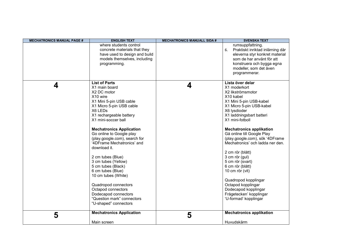| <b>MECHATRONICS MANUAL PAGE #</b> | <b>ENGLISH TEXT</b>                                                                                                                                                                                                                                                                                                                                                                                                                                                                                                                                                           | <b>MECHATRONICS MANUALL SIDA #</b> | <b>SVENSKA TEXT</b>                                                                                                                                                                                                                                                                                                                                                                                                                                                                                                                                         |
|-----------------------------------|-------------------------------------------------------------------------------------------------------------------------------------------------------------------------------------------------------------------------------------------------------------------------------------------------------------------------------------------------------------------------------------------------------------------------------------------------------------------------------------------------------------------------------------------------------------------------------|------------------------------------|-------------------------------------------------------------------------------------------------------------------------------------------------------------------------------------------------------------------------------------------------------------------------------------------------------------------------------------------------------------------------------------------------------------------------------------------------------------------------------------------------------------------------------------------------------------|
|                                   | where students control<br>concrete materials that they<br>have used to design and build<br>models themselves, including<br>programming.                                                                                                                                                                                                                                                                                                                                                                                                                                       |                                    | rumsuppfattning.<br>Praktiskt inriktad inlärning där<br>6.<br>eleverna styr konkret material<br>som de har använt för att<br>konstruera och bygga egna<br>modeller, som det även<br>programmerar.                                                                                                                                                                                                                                                                                                                                                           |
| 4                                 | <b>List of Parts</b><br>X1 main board<br>X2 DC motor<br>X10 wire<br>X1 Mini 5-pin USB cable<br>X1 Micro 5-pin USB cable<br>X6 LEDs<br>X1 rechargeable battery<br>X1 mini-soccer ball<br><b>Mechatronics Application</b><br>Go online to Google play<br>(play.google.com), search for<br>'4DFrame Mechatronics' and<br>download it.<br>2 cm tubes (Blue)<br>3 cm tubes (Yellow)<br>5 cm tubes (Black)<br>6 cm tubes (Blue)<br>10 cm tubes (White)<br>Quadropod connectors<br>Octapod connectors<br>Dodecapod connectors<br>"Question mark" connectors<br>"U-shaped" connectors | 4                                  | Lista över delar<br>X1 moderkort<br>X2 likströmsmotor<br>X10 kabel<br>X1 Mini 5-pin USB-kabel<br>X1 Micro 5-pin USB-kabel<br>X6 lysdioder<br>X1 laddningsbart batteri<br>X1 mini-fotboll<br><b>Mechatronics applikation</b><br>Gå online till Google Play<br>(play.google.com), sök '4DFrame<br>Mechatronics' och ladda ner den.<br>2 cm rör (blått)<br>3 cm rör (gul)<br>5 cm rör (svart)<br>6 cm rör (blått)<br>10 cm rör (vit)<br>Quadropod kopplingar<br>Octapod kopplingar<br>Dodecapod kopplingar<br>Frågetecken' kopplingar<br>'U-formad' kopplingar |
| 5                                 | <b>Mechatronics Application</b>                                                                                                                                                                                                                                                                                                                                                                                                                                                                                                                                               | 5                                  | <b>Mechatronics applikation</b>                                                                                                                                                                                                                                                                                                                                                                                                                                                                                                                             |
|                                   | Main screen                                                                                                                                                                                                                                                                                                                                                                                                                                                                                                                                                                   |                                    | Huvudskärm                                                                                                                                                                                                                                                                                                                                                                                                                                                                                                                                                  |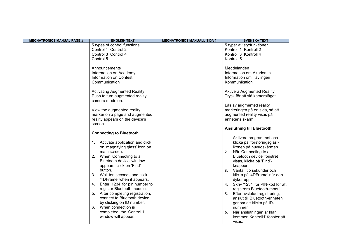| <b>MECHATRONICS MANUAL PAGE #</b> | <b>ENGLISH TEXT</b>                                               | <b>MECHATRONICS MANUALL SIDA #</b> | <b>SVENSKA TEXT</b>                           |
|-----------------------------------|-------------------------------------------------------------------|------------------------------------|-----------------------------------------------|
|                                   | 5 types of control functions                                      |                                    | 5 typer av styrfunktioner                     |
|                                   | Control 1 Control 2                                               |                                    | Kontroll 1 Kontroll 2                         |
|                                   | Control 3 Control 4                                               |                                    | Kontroll 3 Kontroll 4                         |
|                                   | Control 5                                                         |                                    | Kontroll 5                                    |
|                                   | Announcements                                                     |                                    | Meddelanden                                   |
|                                   | Information on Academy                                            |                                    | Information om Akademin                       |
|                                   | Information on Contest                                            |                                    | Information om Tävlingen                      |
|                                   | Communication                                                     |                                    | Kommunikation                                 |
|                                   |                                                                   |                                    |                                               |
|                                   | <b>Activating Augmented Reality</b>                               |                                    | <b>Aktivera Augmented Reality</b>             |
|                                   | Push to turn augmented reality                                    |                                    | Tryck för att slå kameraläget.                |
|                                   | camera mode on.                                                   |                                    |                                               |
|                                   |                                                                   |                                    | Läs av augmented reality                      |
|                                   | View the augmented reality                                        |                                    | markeringen på en sida, så att                |
|                                   | marker on a page and augmented<br>reality appears on the device's |                                    | augmented reality visas på<br>enhetens skärm. |
|                                   | screen.                                                           |                                    |                                               |
|                                   |                                                                   |                                    | <b>Anslutning till Bluetooth</b>              |
|                                   | <b>Connecting to Bluetooth</b>                                    |                                    |                                               |
|                                   |                                                                   |                                    | Aktivera programmet och<br>1.                 |
|                                   | 1. Activate application and click                                 |                                    | klicka på 'förstoringsglas'-                  |
|                                   | on 'magnifying glass' icon on                                     |                                    | ikonen på huvudskärmen.                       |
|                                   | main screen.                                                      |                                    | När 'Connecting to a<br>2.                    |
|                                   | When 'Connecting to a<br>2.                                       |                                    | Bluetooth device' fönstret                    |
|                                   | Bluetooth device' window<br>appears, click on 'Find'              |                                    | visas, klicka på 'Find'-                      |
|                                   | button.                                                           |                                    | knappen.<br>Vänta i tio sekunder och<br>3.    |
|                                   | 3.<br>Wait ten seconds and click                                  |                                    | klicka på '4DFrame' när den                   |
|                                   | '4DFrame' when it appears.                                        |                                    | dyker upp.                                    |
|                                   | Enter '1234' for pin number to<br>4.                              |                                    | Skriv '1234' för PIN-kod för att<br>4.        |
|                                   | register Bluetooth module.                                        |                                    | registrera Bluetooth-modul.                   |
|                                   | 5. After completing registration,                                 |                                    | 5. Efter avslutad registrering,               |
|                                   | connect to Bluetooth device                                       |                                    | anslut till Bluetooth-enheten                 |
|                                   | by clicking on ID number.                                         |                                    | genom att klicka på ID-                       |
|                                   | 6.<br>When connection is                                          |                                    | nummer.                                       |
|                                   | completed, the 'Control 1'<br>window will appear.                 |                                    | När anslutningen är klar,<br>6.               |
|                                   |                                                                   |                                    | kommer 'Kontroll1' fönster att                |
|                                   |                                                                   |                                    | visas.                                        |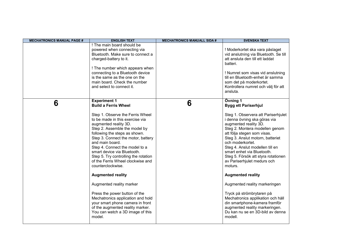| <b>MECHATRONICS MANUAL PAGE #</b> | <b>ENGLISH TEXT</b>                                                                                                                                                                                                                                                                                                                                                                                                                                                                                                                                                                                                                                                                                  | <b>MECHATRONICS MANUALL SIDA #</b> | <b>SVENSKA TEXT</b>                                                                                                                                                                                                                                                                                                                                                                                                                                                                                                                                                                                                                                                 |
|-----------------------------------|------------------------------------------------------------------------------------------------------------------------------------------------------------------------------------------------------------------------------------------------------------------------------------------------------------------------------------------------------------------------------------------------------------------------------------------------------------------------------------------------------------------------------------------------------------------------------------------------------------------------------------------------------------------------------------------------------|------------------------------------|---------------------------------------------------------------------------------------------------------------------------------------------------------------------------------------------------------------------------------------------------------------------------------------------------------------------------------------------------------------------------------------------------------------------------------------------------------------------------------------------------------------------------------------------------------------------------------------------------------------------------------------------------------------------|
|                                   | ! The main board should be<br>powered when connecting via<br>Bluetooth. Make sure to connect a<br>charged-battery to it.<br>! The number which appears when<br>connecting to a Bluetooth device<br>is the same as the one on the<br>main board. Check the number<br>and select to connect it.                                                                                                                                                                                                                                                                                                                                                                                                        |                                    | ! Moderkortet ska vara påslaget<br>vid anslutning via Bluetooth. Se till<br>att ansluta den till ett laddat<br>batteri.<br>! Numret som visas vid anslutning<br>till en Bluetooth-enhet är samma<br>som det på moderkortet.<br>Kontrollera numret och välj för att<br>ansluta.                                                                                                                                                                                                                                                                                                                                                                                      |
| 6                                 | <b>Experiment 1</b><br><b>Build a Ferris Wheel</b><br>Step 1. Observe the Ferris Wheel<br>to be made in this exercise via<br>augmented reality 3D.<br>Step 2. Assemble the model by<br>following the steps as shown.<br>Step 3. Connect the motor, battery<br>and main board.<br>Step 4. Connect the model to a<br>smart device via Bluetooth.<br>Step 5. Try controlling the rotation<br>of the Ferris Wheel clockwise and<br>counterclockwise.<br><b>Augmented reality</b><br>Augmented reality marker<br>Press the power button of the<br>Mechatronics application and hold<br>your smart phone camera in front<br>of the augmented reality marker.<br>You can watch a 3D image of this<br>model. | 6                                  | Övning 1<br><b>Bygg ett Pariserhjul</b><br>Steg 1. Observera att Pariserhjulet<br>i denna övning ska göras via<br>augmented reality 3D.<br>Steg 2. Montera modellen genom<br>att följa stegen som visas.<br>Steg 3. Anslut motorn, batteriet<br>och moderkortet.<br>Steg 4. Anslut modellen till en<br>smart enhet via Bluetooth.<br>Steg 5. Försök att styra rotationen<br>av Pariserhjulet medurs och<br>moturs.<br><b>Augmented reality</b><br>Augmented reality markeringen<br>Tryck på strömbrytaren på<br>Mechatronics applikation och håll<br>din smartphone-kamera framför<br>augmented reality markeringen.<br>Du kan nu se en 3D-bild av denna<br>modell. |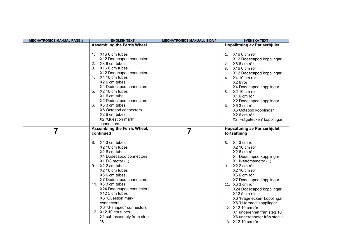| <b>MECHATRONICS MANUAL PAGE #</b> | <b>ENGLISH TEXT</b>                                                                                                                                                                                                                                                                                                                                                                                 | <b>MECHATRONICS MANUALL SIDA #</b> | <b>SVENSKA TEXT</b>                                                                                                                                                                                                                                                                                                                                                                                                                   |
|-----------------------------------|-----------------------------------------------------------------------------------------------------------------------------------------------------------------------------------------------------------------------------------------------------------------------------------------------------------------------------------------------------------------------------------------------------|------------------------------------|---------------------------------------------------------------------------------------------------------------------------------------------------------------------------------------------------------------------------------------------------------------------------------------------------------------------------------------------------------------------------------------------------------------------------------------|
|                                   | <b>Assembling the Ferris Wheel</b>                                                                                                                                                                                                                                                                                                                                                                  |                                    | Hopsättning av Pariserhjulet                                                                                                                                                                                                                                                                                                                                                                                                          |
|                                   | 1. X16 6 cm tubes<br>X12 Dodecapod connectors<br>X8 6 cm tubes<br>2.<br>3 <sub>1</sub><br>X16 6 cm tubes<br>X12 Dodecapod connectors<br>X4 10 cm tubes<br>4.<br>X <sub>2</sub> 6 cm tubes<br>X4 Dodecapod connectors<br>5. X2 10 cm tubes<br>X16 cm tube<br>X2 Dodecapod connectors<br>6. X6 3 cm tubes<br>X6 Octapod connectors<br>X2 6 cm tubes<br>X2 "Question mark"                             |                                    | X16 6 cm rör<br>1.<br>X12 Dodecapod kopplingar<br>X8 6 cm rör<br>2.<br>X16 6 cm rör<br>3.<br>X12 Dodecapod kopplingar<br>4. X4 10 cm rör<br>X26 rör<br>X4 Dodecapod kopplingar<br>5. X2 10 cm rör<br>X16 cm rör<br>X2 Dodecapod kopplingar<br>X6 3 cm rör<br>6.<br>X6 Octapod kopplingar<br>X2 6 cm rör<br>X2 'Frågetecken' kopplingar                                                                                                |
|                                   | connectors<br><b>Assembling the Ferris Wheel,</b>                                                                                                                                                                                                                                                                                                                                                   |                                    | Hopsättning av Pariserhjulet,                                                                                                                                                                                                                                                                                                                                                                                                         |
|                                   | continued<br>X4 3 cm tubes<br>8.<br>X2 10 cm tubes<br>X2 6 cm tubes<br>X4 Dodecapod connectors<br>X1 DC motor (L)<br>X2 2 cm tubes<br>9.<br>X2 10 cm tubes<br>X6 6 cm tubes<br>X7 Dodecapod connectors<br>11. X6 3 cm tubes<br>X24 Dodecapod connectors<br>X12 5 cm tubes<br>X6 "Question mark"<br>connectors<br>X6 "U-shaped" connectors<br>12. X12 10 cm tubes<br>X1 sub-assembly from step<br>10 |                                    | fortsättning<br>X4 3 cm rör<br>8.<br>X2 10 cm rör<br>X2 6 cm rör<br>X4 Dodecapod kopplingar<br>X1 likströmsmotor (L)<br>X2 2 cm rör<br>9.<br>X2 10 cm rör<br>X6 6 cm rör<br>X7 Dodecapod kopplingar<br>11. X6 3 cm rör<br>X24 Dodecapod kopplingar<br>X12 5 cm rör<br>X6 'Frågetecken' kopplingar<br>X6 'U-formad' kopplingar<br>12. X12 10 cm rör<br>X1 underenhet från steg 10<br>X6 underenheter från steg 11<br>13. X12 10 cm rör |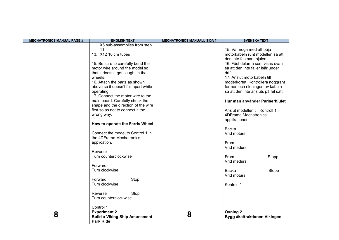| <b>MECHATRONICS MANUAL PAGE #</b> | <b>ENGLISH TEXT</b>                                      | <b>MECHATRONICS MANUALL SIDA #</b> | <b>SVENSKA TEXT</b>                  |
|-----------------------------------|----------------------------------------------------------|------------------------------------|--------------------------------------|
|                                   | X6 sub-assemblies from step                              |                                    |                                      |
|                                   | 11                                                       |                                    | 15. Var noga med att böja            |
|                                   | 13. X12 10 cm tubes                                      |                                    | motorkabeln runt modellen så att     |
|                                   |                                                          |                                    | den inte fastnar i hjulen.           |
|                                   | 15. Be sure to carefully bend the                        |                                    | 16. Fäst delarna som visas ovan      |
|                                   | motor wire around the model so                           |                                    | så att den inte faller isär under    |
|                                   | that it doesn't get caught in the                        |                                    | drift.                               |
|                                   | wheels.                                                  |                                    | 17. Anslut motorkabeln till          |
|                                   | 16. Attach the parts as shown                            |                                    | moderkortet. Kontrollera noggrant    |
|                                   | above so it doesn't fall apart while                     |                                    | formen och riktningen av kabeln      |
|                                   | operating.                                               |                                    | så att den inte ansluts på fel sätt. |
|                                   | 17. Connect the motor wire to the                        |                                    |                                      |
|                                   | main board. Carefully check the                          |                                    | Hur man använder Pariserhjulet       |
|                                   | shape and the direction of the wire                      |                                    |                                      |
|                                   | first so as not to connect it the                        |                                    | Anslut modellen till Kontroll 1 i    |
|                                   | wrong way.                                               |                                    | <b>4DFrame Mechatronics</b>          |
|                                   | How to operate the Ferris Wheel                          |                                    | applikationen.                       |
|                                   |                                                          |                                    | <b>Backa</b>                         |
|                                   | Connect the model to Control 1 in                        |                                    | Vrid moturs                          |
|                                   | the 4DFrame Mechatronics                                 |                                    |                                      |
|                                   | application.                                             |                                    | Fram                                 |
|                                   |                                                          |                                    | Vrid medurs                          |
|                                   | Reverse                                                  |                                    |                                      |
|                                   | Turn counterclockwise                                    |                                    | Fram<br>Stopp                        |
|                                   |                                                          |                                    | Vrid medurs                          |
|                                   | Forward                                                  |                                    |                                      |
|                                   | Turn clockwise                                           |                                    | <b>Backa</b><br>Stopp                |
|                                   |                                                          |                                    | Vrid moturs                          |
|                                   | Forward<br>Stop                                          |                                    |                                      |
|                                   | Turn clockwise                                           |                                    | Kontroll 1                           |
|                                   |                                                          |                                    |                                      |
|                                   | Reverse<br>Stop                                          |                                    |                                      |
|                                   | Turn counterclockwise                                    |                                    |                                      |
|                                   | Control 1                                                |                                    |                                      |
|                                   | <b>Experiment 2</b>                                      |                                    | Övning 2                             |
| 8                                 | <b>Build a Viking Ship Amusement</b><br><b>Park Ride</b> | 8                                  | Bygg åkattraktionen Vikingen         |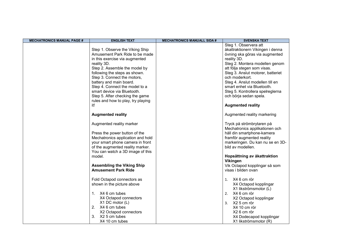| <b>MECHATRONICS MANUAL PAGE #</b> | <b>ENGLISH TEXT</b>                | <b>MECHATRONICS MANUALL SIDA #</b> | <b>SVENSKA TEXT</b>               |
|-----------------------------------|------------------------------------|------------------------------------|-----------------------------------|
|                                   |                                    |                                    | Steg 1. Observera att             |
|                                   | Step 1. Observe the Viking Ship    |                                    | åkattraktionern Vikingen i denna  |
|                                   | Amusement Park Ride to be made     |                                    | övning ska göras via augmented    |
|                                   | in this exercise via augmented     |                                    | reality 3D.                       |
|                                   | reality 3D.                        |                                    | Steg 2. Montera modellen genom    |
|                                   | Step 2. Assemble the model by      |                                    | att följa stegen som visas.       |
|                                   | following the steps as shown.      |                                    | Steg 3. Anslut motorer, batteriet |
|                                   | Step 3. Connect the motors,        |                                    | och moderkort.                    |
|                                   | battery and main board.            |                                    | Steg 4. Anslut modellen till en   |
|                                   | Step 4. Connect the model to a     |                                    | smart enhet via Bluetooth.        |
|                                   | smart device via Bluetooth.        |                                    | Steg 5. Kontrollera spelreglerna  |
|                                   | Step 5. After checking the game    |                                    | och börja sedan spela.            |
|                                   | rules and how to play, try playing |                                    |                                   |
|                                   | it!                                |                                    | <b>Augmented reality</b>          |
|                                   |                                    |                                    |                                   |
|                                   | <b>Augmented reality</b>           |                                    | Augmented reality markering       |
|                                   | Augmented reality marker           |                                    | Tryck på strömbrytaren på         |
|                                   |                                    |                                    | Mechatronics applikationen och    |
|                                   | Press the power button of the      |                                    | håll din smartphone-kamera        |
|                                   | Mechatronics application and hold  |                                    | framför augmented reality         |
|                                   | your smart phone camera in front   |                                    | markeringen. Du kan nu se en 3D-  |
|                                   | of the augmented reality marker.   |                                    | bild av modellen.                 |
|                                   | You can watch a 3D image of this   |                                    |                                   |
|                                   | model.                             |                                    | Hopsättning av åkattraktion       |
|                                   |                                    |                                    | Vikingen                          |
|                                   | <b>Assembling the Viking Ship</b>  |                                    | Vik Octapod kopplingar så som     |
|                                   | <b>Amusement Park Ride</b>         |                                    | visas i bilden ovan               |
|                                   |                                    |                                    |                                   |
|                                   | Fold Octapod connectors as         |                                    | 1. $X46$ cm rör                   |
|                                   | shown in the picture above         |                                    | X4 Octapod kopplingar             |
|                                   |                                    |                                    | X1 likströmsmotor (L)             |
|                                   | 1. X4 6 cm tubes                   |                                    | 2. X4 6 cm rör                    |
|                                   | X4 Octapod connectors              |                                    | X2 Octapod kopplingar             |
|                                   | X1 DC motor (L)                    |                                    | 3. X2 5 cm rör                    |
|                                   | 2. X4 6 cm tubes                   |                                    | X4 10 cm rör                      |
|                                   | X2 Octapod connectors              |                                    | X2 6 cm rör                       |
|                                   | X2 5 cm tubes<br>3.                |                                    | X4 Dodecapod kopplingar           |
|                                   | X4 10 cm tubes                     |                                    | X1 likströmsmotor (R)             |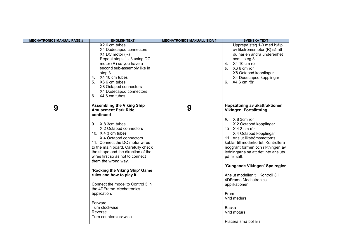| <b>MECHATRONICS MANUAL PAGE #</b> | <b>ENGLISH TEXT</b>                                                                                                                                                                                                                                                                                                                                                                                                                                                                                                                                                     | <b>MECHATRONICS MANUALL SIDA #</b> | <b>SVENSKA TEXT</b>                                                                                                                                                                                                                                                                                                                                                                                                                                                                   |
|-----------------------------------|-------------------------------------------------------------------------------------------------------------------------------------------------------------------------------------------------------------------------------------------------------------------------------------------------------------------------------------------------------------------------------------------------------------------------------------------------------------------------------------------------------------------------------------------------------------------------|------------------------------------|---------------------------------------------------------------------------------------------------------------------------------------------------------------------------------------------------------------------------------------------------------------------------------------------------------------------------------------------------------------------------------------------------------------------------------------------------------------------------------------|
|                                   | X <sub>2</sub> 6 cm tubes<br>X4 Dodecapod connectors<br>$X1$ DC motor $(R)$<br>Repeat steps 1 - 3 using DC<br>motor (R) so you have a<br>second sub-assembly like in<br>step 3.<br>4. X4 10 cm tubes<br>5. X6 6 cm tubes<br>X8 Octapod connectors<br>X4 Dodecapod connectors<br>X4 6 cm tubes<br>6.                                                                                                                                                                                                                                                                     |                                    | Upprepa steg 1-3 med hjälp<br>av likströmsmotor (R) så att<br>du har en andra underenhet<br>som i steg 3.<br>X4 10 cm rör<br>4.<br>X6 6 cm rör<br>5.<br>X8 Octapod kopplingar<br>X4 Dodecapod kopplingar<br>6. X4 6 cm rör                                                                                                                                                                                                                                                            |
| 9                                 | <b>Assembling the Viking Ship</b><br><b>Amusement Park Ride,</b><br>continued<br>9. X 8 3cm tubes<br>X 2 Octapod connectors<br>10. $X$ 4 3 cm tubes<br>X 4 Octapod connectors<br>11. Connect the DC motor wires<br>to the main board. Carefully check<br>the shape and the direction of the<br>wires first so as not to connect<br>them the wrong way.<br>'Rocking the Viking Ship' Game<br>rules and how to play it.<br>Connect the model to Control 3 in<br>the 4DFrame Mechatronics<br>application.<br>Forward<br>Turn clockwise<br>Reverse<br>Turn counterclockwise | 9                                  | Hopsättning av åkattraktionen<br>Vikingen. Fortsättning.<br>9. X 8 3cm rör<br>X 2 Octapod kopplingar<br>10. X 4 3 cm rör<br>X 4 Octapod kopplingar<br>11. Anslut likströmsmotorns<br>kablar till moderkortet. Kontrollera<br>noggrant formen och riktningen av<br>ledningarna så att det inte ansluts<br>på fel sätt.<br>'Gungande Vikingen' Spelregler<br>Anslut modellen till Kontroll 3 i<br>4DFrame Mechatronics<br>applikationen.<br>Fram<br>Vrid medurs<br>Backa<br>Vrid moturs |
|                                   |                                                                                                                                                                                                                                                                                                                                                                                                                                                                                                                                                                         |                                    | Placera små bollar i                                                                                                                                                                                                                                                                                                                                                                                                                                                                  |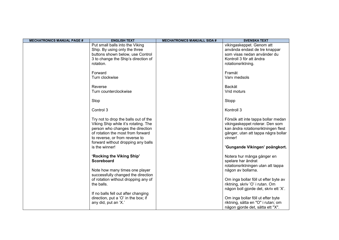| <b>MECHATRONICS MANUAL PAGE #</b> | <b>ENGLISH TEXT</b>                  | <b>MECHATRONICS MANUALL SIDA #</b> | <b>SVENSKA TEXT</b>                   |
|-----------------------------------|--------------------------------------|------------------------------------|---------------------------------------|
|                                   | Put small balls into the Viking      |                                    | vikingaskeppet. Genom att             |
|                                   | Ship. By using only the three        |                                    | använda endast de tre knappar         |
|                                   | buttons shown below, use Control     |                                    | som visas nedan använder du           |
|                                   | 3 to change the Ship's direction of  |                                    | Kontroll 3 för att ändra              |
|                                   | rotation.                            |                                    | rotationsriktning.                    |
|                                   |                                      |                                    |                                       |
|                                   | Forward                              |                                    | Framåt                                |
|                                   | Turn clockwise                       |                                    | Vary medsols                          |
|                                   |                                      |                                    |                                       |
|                                   | Reverse                              |                                    | Backåt                                |
|                                   | Turn counterclockwise                |                                    | Vrid moturs                           |
|                                   |                                      |                                    |                                       |
|                                   | Stop                                 |                                    | Stopp                                 |
|                                   |                                      |                                    |                                       |
|                                   | Control 3                            |                                    | Kontroll 3                            |
|                                   |                                      |                                    |                                       |
|                                   | Try not to drop the balls out of the |                                    | Försök att inte tappa bollar medan    |
|                                   | Viking Ship while it's rotating. The |                                    | vikingaskeppet roterar. Den som       |
|                                   | person who changes the direction     |                                    | kan ändra rotationsriktningen flest   |
|                                   | of rotation the most from forward    |                                    | gånger, utan att tappa några bollar   |
|                                   | to reverse, or from reverse to       |                                    | vinner!                               |
|                                   | forward without dropping any balls   |                                    |                                       |
|                                   | is the winner!                       |                                    | 'Gungande Vikingen' poängkort.        |
|                                   |                                      |                                    |                                       |
|                                   | 'Rocking the Viking Ship'            |                                    | Notera hur många gånger en            |
|                                   | <b>Scoreboard</b>                    |                                    | spelare har ändrat                    |
|                                   |                                      |                                    | rotationsriktningen utan att tappa    |
|                                   | Note how many times one player       |                                    | någon av bollarna.                    |
|                                   | successfully changed the direction   |                                    |                                       |
|                                   | of rotation without dropping any of  |                                    | Om inga bollar föll ut efter byte av  |
|                                   | the balls.                           |                                    | riktning, skriv 'O' i rutan. Om       |
|                                   |                                      |                                    | någon boll gjorde det, skriv ett 'X'. |
|                                   | If no balls fell out after changing  |                                    |                                       |
|                                   | direction, put a 'O' in the box; if  |                                    | Om inga bollar föll ut efter byte     |
|                                   | any did, put an 'X.'                 |                                    | riktning, sätta en "O" i rutan; om    |
|                                   |                                      |                                    | någon gjorde det, sätta ett "X".      |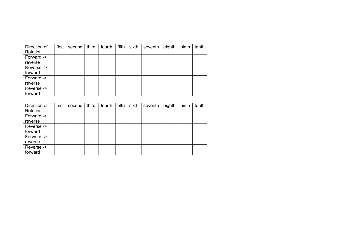| Direction of | first | second | third | fourth | fifth | sixth | seventh | eighth | ninth | tenth |
|--------------|-------|--------|-------|--------|-------|-------|---------|--------|-------|-------|
| Rotation     |       |        |       |        |       |       |         |        |       |       |
| Forward ->   |       |        |       |        |       |       |         |        |       |       |
| reverse      |       |        |       |        |       |       |         |        |       |       |
| Reverse ->   |       |        |       |        |       |       |         |        |       |       |
| forward      |       |        |       |        |       |       |         |        |       |       |
| Forward ->   |       |        |       |        |       |       |         |        |       |       |
| reverse      |       |        |       |        |       |       |         |        |       |       |
| Reverse ->   |       |        |       |        |       |       |         |        |       |       |
| forward      |       |        |       |        |       |       |         |        |       |       |

| Direction of | first | second | third | fourth | fifth | sixth | seventh | eighth | ninth | tenth |
|--------------|-------|--------|-------|--------|-------|-------|---------|--------|-------|-------|
| Rotation     |       |        |       |        |       |       |         |        |       |       |
| Forward ->   |       |        |       |        |       |       |         |        |       |       |
| reverse      |       |        |       |        |       |       |         |        |       |       |
| Reverse ->   |       |        |       |        |       |       |         |        |       |       |
| forward      |       |        |       |        |       |       |         |        |       |       |
| Forward ->   |       |        |       |        |       |       |         |        |       |       |
| reverse      |       |        |       |        |       |       |         |        |       |       |
| Reverse ->   |       |        |       |        |       |       |         |        |       |       |
| forward      |       |        |       |        |       |       |         |        |       |       |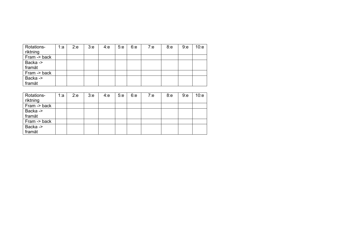| Rotations-   | 1:a | 2:e | 3:e | 4:e | 5:e | 6:e | 7:e | 8: e | 9:e | 10:e |
|--------------|-----|-----|-----|-----|-----|-----|-----|------|-----|------|
| riktning     |     |     |     |     |     |     |     |      |     |      |
| Fram -> back |     |     |     |     |     |     |     |      |     |      |
| Backa ->     |     |     |     |     |     |     |     |      |     |      |
| framåt       |     |     |     |     |     |     |     |      |     |      |
| Fram -> back |     |     |     |     |     |     |     |      |     |      |
| Backa ->     |     |     |     |     |     |     |     |      |     |      |
| framåt       |     |     |     |     |     |     |     |      |     |      |

| Rotations-<br>riktning | 1:а | 2:e | 3:e | 4:e | 5:e | 6:e | 7: e | 8:e | 9:e | 10:e |
|------------------------|-----|-----|-----|-----|-----|-----|------|-----|-----|------|
| Fram -> back           |     |     |     |     |     |     |      |     |     |      |
| Backa -><br>framåt     |     |     |     |     |     |     |      |     |     |      |
| Fram -> back           |     |     |     |     |     |     |      |     |     |      |
| Backa -><br>framåt     |     |     |     |     |     |     |      |     |     |      |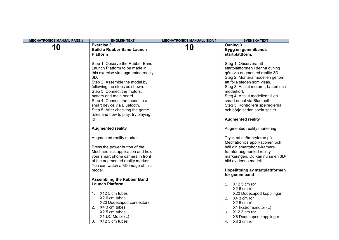| <b>MECHATRONICS MANUAL PAGE #</b> | <b>ENGLISH TEXT</b>                                                                                                                                                                                                                                                                                                                                                                         | <b>MECHATRONICS MANUALL SIDA #</b> | <b>SVENSKA TEXT</b>                                                                                                                                                                                                                                                                                                                                                                |
|-----------------------------------|---------------------------------------------------------------------------------------------------------------------------------------------------------------------------------------------------------------------------------------------------------------------------------------------------------------------------------------------------------------------------------------------|------------------------------------|------------------------------------------------------------------------------------------------------------------------------------------------------------------------------------------------------------------------------------------------------------------------------------------------------------------------------------------------------------------------------------|
| 10                                | <b>Exercise 3</b><br><b>Build a Rubber Band Launch</b><br><b>Platform</b>                                                                                                                                                                                                                                                                                                                   | 10                                 | Övning 3<br>Bygg en gummibands<br>startplattform.                                                                                                                                                                                                                                                                                                                                  |
|                                   | Step 1. Observe the Rubber Band<br>Launch Platform to be made in<br>this exercise via augmented reality<br>3D.<br>Step 2. Assemble the model by<br>following the steps as shown.<br>Step 3. Connect the motors,<br>battery and main board.<br>Step 4. Connect the model to a<br>smart device via Bluetooth.<br>Step 5. After checking the game<br>rules and how to play, try playing<br>it! |                                    | Steg 1. Observera att<br>startplattformen i denna övning<br>görs via augmented reality 3D.<br>Steg 2. Montera modellen genom<br>att följa stegen som visas.<br>Steg 3. Anslut motorer, batteri och<br>moderkort.<br>Steg 4. Anslut modellen till en<br>smart enhet via Bluetooth.<br>Steg 5. Kontrollera spelreglerna<br>och börja sedan spela spelet.<br><b>Augmented reality</b> |
|                                   | <b>Augmented reality</b>                                                                                                                                                                                                                                                                                                                                                                    |                                    | Augmented reality markering                                                                                                                                                                                                                                                                                                                                                        |
|                                   | Augmented reality marker<br>Press the power button of the<br>Mechatronics application and hold<br>your smart phone camera in front<br>of the augmented reality marker.<br>You can watch a 3D image of this                                                                                                                                                                                  |                                    | Tryck på strömbrytaren på<br>Mechatronics applikationen och<br>håll din smartphone-kamera<br>framför augmented reality<br>markeringen. Du kan nu se en 3D-<br>bild av denna modell.                                                                                                                                                                                                |
|                                   | model.                                                                                                                                                                                                                                                                                                                                                                                      |                                    | Hopsättning av startplattformen<br>för gummiband                                                                                                                                                                                                                                                                                                                                   |
|                                   | <b>Assembling the Rubber Band</b><br><b>Launch Platform</b><br>1. X12 5 cm tubes<br>X2 6 cm tubes<br>X20 Dodecapod connectors<br>2. X4 3 cm tubes<br>X2 5 cm tubes<br>X1 DC Motor (L)<br>3. X12 3 cm tubes                                                                                                                                                                                  |                                    | 1. X12 5 cm rör<br>X2 6 cm rör<br>X20 Dodecapod kopplingar<br>2. X4 3 cm rör<br>X2 5 cm rör<br>X1 likströmsmotor (L)<br>3. X12 3 cm rör<br>X8 Dodecapod kopplingar<br>X8 3 cm rör<br>4.                                                                                                                                                                                            |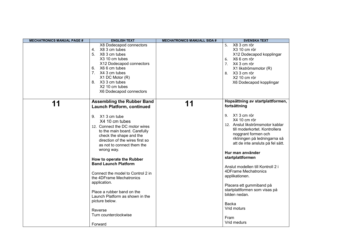| <b>MECHATRONICS MANUAL PAGE #</b> | <b>ENGLISH TEXT</b>                                                                                                                                                                                                                                                                                                                                                                                                                                                                                                                                                    | <b>MECHATRONICS MANUALL SIDA #</b> | <b>SVENSKA TEXT</b>                                                                                                                                                                                                                                                                                                                                                                                                                                                                                                     |
|-----------------------------------|------------------------------------------------------------------------------------------------------------------------------------------------------------------------------------------------------------------------------------------------------------------------------------------------------------------------------------------------------------------------------------------------------------------------------------------------------------------------------------------------------------------------------------------------------------------------|------------------------------------|-------------------------------------------------------------------------------------------------------------------------------------------------------------------------------------------------------------------------------------------------------------------------------------------------------------------------------------------------------------------------------------------------------------------------------------------------------------------------------------------------------------------------|
|                                   | X8 Dodecapod connectors<br>4. X8 3 cm tubes<br>5. X8 3 cm tubes<br>X3 10 cm tubes<br>X12 Dodecapod connectors<br>X6 6 cm tubes<br>6.<br>7. X4 3 cm tubes<br>X1 DC Motor (R)<br>8. X3 3 cm tubes<br>X2 10 cm tubes<br>X6 Dodecapod connectors                                                                                                                                                                                                                                                                                                                           |                                    | X8 3 cm rör<br>5.<br>X3 10 cm rör<br>X12 Dodecapod kopplingar<br>X66 cm rör<br>6.<br>7. X4 3 cm rör<br>X1 likströmsmotor (R)<br>X3 3 cm rör<br>8.<br>X2 10 cm rör<br>X6 Dodecapod kopplingar                                                                                                                                                                                                                                                                                                                            |
| 11                                | <b>Assembling the Rubber Band</b><br><b>Launch Platform, continued</b><br>9. X1 3 cm tube<br>X4 10 cm tubes<br>12. Connect the DC motor wires<br>to the main board. Carefully<br>check the shape and the<br>direction of the wires first so<br>as not to connect them the<br>wrong way.<br>How to operate the Rubber<br><b>Band Launch Platform</b><br>Connect the model to Control 2 in<br>the 4DFrame Mechatronics<br>application.<br>Place a rubber band on the<br>Launch Platform as shown in the<br>picture below.<br>Reverse<br>Turn counterclockwise<br>Forward | 11                                 | Hopsättning av startplattformen,<br>fortsättning<br>X1 3 cm rör<br>9.<br>X4 10 cm rör<br>12. Anslut likströmsmotor kablar<br>till moderkortet. Kontrollera<br>noggrant formen och<br>riktningen på ledningarna så<br>att de inte ansluts på fel sätt.<br>Hur man använder<br>startplattformen<br>Anslut modellen till Kontroll 2 i<br><b>4DFrame Mechatronics</b><br>applikationen.<br>Placera ett gummiband på<br>startplattformen som visas på<br>bilden nedan.<br><b>Backa</b><br>Vrid moturs<br>Fram<br>Vrid medurs |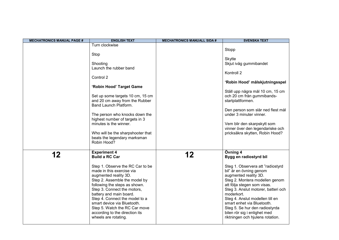| <b>MECHATRONICS MANUAL PAGE #</b> | <b>ENGLISH TEXT</b>                                                                                                                                                                                                                                                                                                                                                                                                            | <b>MECHATRONICS MANUALL SIDA #</b> | <b>SVENSKA TEXT</b>                                                                                                                                                                                                                                                                                                                                                                                                      |
|-----------------------------------|--------------------------------------------------------------------------------------------------------------------------------------------------------------------------------------------------------------------------------------------------------------------------------------------------------------------------------------------------------------------------------------------------------------------------------|------------------------------------|--------------------------------------------------------------------------------------------------------------------------------------------------------------------------------------------------------------------------------------------------------------------------------------------------------------------------------------------------------------------------------------------------------------------------|
|                                   | Turn clockwise<br>Stop<br>Shooting<br>Launch the rubber band<br>Control 2<br>'Robin Hood' Target Game<br>Set up some targets 10 cm, 15 cm<br>and 20 cm away from the Rubber<br>Band Launch Platform.<br>The person who knocks down the<br>highest number of targets in 3<br>minutes is the winner.<br>Who will be the sharpshooter that<br>beats the legendary marksman<br>Robin Hood?                                         |                                    | Stopp<br><b>Skytte</b><br>Skjut iväg gummibandet<br>Kontroll 2<br>'Robin Hood' målskjutningsspel<br>Ställ upp några mål 10 cm, 15 cm<br>och 20 cm från gummibands-<br>startplattformen.<br>Den person som slår ned flest mål<br>under 3 minuter vinner.<br>Vem blir den skarpskytt som<br>vinner över den legendariske och<br>pricksäkra skytten, Robin Hood?                                                            |
| 12                                | <b>Experiment 4</b><br><b>Build a RC Car</b><br>Step 1. Observe the RC Car to be<br>made in this exercise via<br>augmented reality 3D.<br>Step 2. Assemble the model by<br>following the steps as shown.<br>Step 3. Connect the motors,<br>battery and main board.<br>Step 4. Connect the model to a<br>smart device via Bluetooth.<br>Step 5. Watch the RC Car move<br>according to the direction its<br>wheels are rotating. | 12                                 | Övning 4<br>Bygg en radiostyrd bil<br>Steg 1. Observera att "radiostyrd<br>bil" är en övning genom<br>augmented reality 3D.<br>Steg 2. Montera modellen genom<br>att följa stegen som visas.<br>Steg 3. Anslut motorer, batteri och<br>moderkort.<br>Steg 4. Anslut modellen till en<br>smart enhet via Bluetooth.<br>Steg 5. Se hur den radiostyrda<br>bilen rör sig i enlighet med<br>riktningen och hjulens rotation. |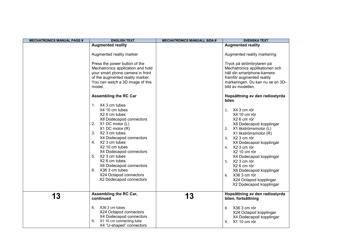| <b>MECHATRONICS MANUAL PAGE #</b> | <b>ENGLISH TEXT</b>                                                                                                                                                                                                                                                                                                                                                                          | <b>MECHATRONICS MANUALL SIDA #</b> | <b>SVENSKA TEXT</b>                                                                                                                                                                                                                                                                                                                                                                |
|-----------------------------------|----------------------------------------------------------------------------------------------------------------------------------------------------------------------------------------------------------------------------------------------------------------------------------------------------------------------------------------------------------------------------------------------|------------------------------------|------------------------------------------------------------------------------------------------------------------------------------------------------------------------------------------------------------------------------------------------------------------------------------------------------------------------------------------------------------------------------------|
|                                   | <b>Augmented reality</b>                                                                                                                                                                                                                                                                                                                                                                     |                                    | <b>Augmented reality</b>                                                                                                                                                                                                                                                                                                                                                           |
|                                   | Augmented reality marker<br>Press the power button of the<br>Mechatronics application and hold<br>your smart phone camera in front<br>of the augmented reality marker.<br>You can watch a 3D image of this<br>model.                                                                                                                                                                         |                                    | Augmented reality markering<br>Tryck på strömbrytaren på<br>Mechatronics applikationen och<br>håll din smartphone-kamera<br>framför augmented reality<br>markeringen. Du kan nu se en 3D-<br>bild av modellen.                                                                                                                                                                     |
|                                   | <b>Assembling the RC Car</b><br>1. X4 3 cm tubes<br>X4 10 cm tubes<br>X2 6 cm tubes<br>X8 Dodecapod connectors<br>X1 DC motor (L)<br>2.<br>X1 DC motor (R)<br>3. X2 3 cm tubes<br>X4 Dodecapod connectors<br>4. X2 3 cm tubes<br>X2 10 cm tubes<br>X4 Dodecapod connectors<br>5. X2 3 cm tubes<br>X2 6 cm tubes<br>X6 Dodecapod connectors<br>6.<br>X36 3 cm tubes<br>X24 Octapod connectors |                                    | Hopsättning av den radiostyrda<br>bilen<br>X4 3 cm rör<br>1.<br>X4 10 cm rör<br>X <sub>2</sub> 6 cm rör<br>X8 Dodecapod kopplingar<br>2. X1 likströmsmotor (L)<br>X1 likströmsmotor (R)<br>3. X2 3 cm rör<br>X4 Dodecapod kopplingar<br>4. X2 3 cm rör<br>X2 10 cm rör<br>X4 Dodecapod kopplingar<br>5. X2 3 cm rör<br>X26 cm rör<br>X6 Dodecapod kopplingar<br>X36 3 cm rör<br>6. |
|                                   | X2 Dodecapod connectors                                                                                                                                                                                                                                                                                                                                                                      |                                    | X24 Octapod kopplingar<br>X2 Dodecapod kopplingar                                                                                                                                                                                                                                                                                                                                  |
| 13                                | Assembling the RC Car,<br>continued<br>8.<br>X36 3 cm tubes<br>X24 Octapod connectors<br>X4 Dodecapod connectors<br>X1 10 cm connecting tube<br>9.<br>X4 "U-shaped" connectors                                                                                                                                                                                                               | 13                                 | Hopsättning av den radiostyrda<br>bilen, fortsättning<br>X36 3 cm rör<br>8.<br>X24 Octapod kopplingar<br>X4 Dodecapod kopplingar<br>X1 10 cm rör<br>9.                                                                                                                                                                                                                             |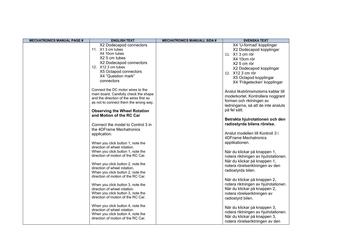| <b>MECHATRONICS MANUAL PAGE #</b> | <b>ENGLISH TEXT</b>                     | <b>MECHATRONICS MANUALL SIDA #</b> | <b>SVENSKA TEXT</b>                  |
|-----------------------------------|-----------------------------------------|------------------------------------|--------------------------------------|
|                                   | X2 Dodecapod connectors                 |                                    | X4 'U-formad' kopplingar             |
|                                   | 11. X1 3 cm tubes                       |                                    | X2 Dodecapod kopplingar              |
|                                   | X4 10cm tubes                           |                                    | 11. X1 3 cm rör                      |
|                                   | X2 5 cm tubes                           |                                    | X4 10cm rör                          |
|                                   | X2 Dodecapod connectors                 |                                    | X2 5 cm rör                          |
|                                   | 12. X12 3 cm tubes                      |                                    | X2 Dodecapod kopplingar              |
|                                   | X5 Octapod connectors                   |                                    | 12. X12 3 cm rör                     |
|                                   | X4 "Question mark"                      |                                    | X5 Octapod kopplingar                |
|                                   | connectors                              |                                    | X4 'Frågetecken' kopplingar          |
|                                   | Connect the DC motor wires to the       |                                    |                                      |
|                                   | main board. Carefully check the shape   |                                    | Anslut likströmsmotorns kablar till  |
|                                   | and the direction of the wires first so |                                    | moderkortet. Kontrollera noggrant    |
|                                   | as not to connect them the wrong way.   |                                    | formen och riktningen av             |
|                                   |                                         |                                    | ledningarna, så att de inte ansluts  |
|                                   | <b>Observing the Wheel Rotation</b>     |                                    | på fel sätt.                         |
|                                   | and Motion of the RC Car                |                                    |                                      |
|                                   |                                         |                                    | Betrakta hjulrotationen och den      |
|                                   | Connect the model to Control 3 in       |                                    | radiostyrda bilens rörelse.          |
|                                   | the 4DFrame Mechatronics                |                                    |                                      |
|                                   | application.                            |                                    | Anslut modellen till Kontroll 3 i    |
|                                   |                                         |                                    | <b>4DFrame Mechatronics</b>          |
|                                   | When you click button 1, note the       |                                    | applikationen.                       |
|                                   | direction of wheel rotation.            |                                    |                                      |
|                                   | When you click button 1, note the       |                                    | När du klickar på knappen 1,         |
|                                   | direction of motion of the RC Car.      |                                    | notera riktningen av hjulrotationen. |
|                                   | When you click button 2, note the       |                                    | När du klickar på knappen 1,         |
|                                   | direction of wheel rotation.            |                                    | notera rörelseriktningen av den      |
|                                   | When you click button 2, note the       |                                    | radiostyrda bilen.                   |
|                                   | direction of motion of the RC Car.      |                                    |                                      |
|                                   |                                         |                                    | När du klickar på knappen 2,         |
|                                   | When you click button 3, note the       |                                    | notera riktningen av hjulrotationen. |
|                                   | direction of wheel rotation.            |                                    | När du klickar på knappen 2,         |
|                                   | When you click button 3, note the       |                                    | notera rörelseriktningen av          |
|                                   | direction of motion of the RC Car.      |                                    | radiostyrd bilen.                    |
|                                   | When you click button 4, note the       |                                    | När du klickar på knappen 3,         |
|                                   | direction of wheel rotation.            |                                    | notera riktningen av hjulrotationen. |
|                                   | When you click button 4, note the       |                                    | När du klickar på knappen 3,         |
|                                   | direction of motion of the RC Car.      |                                    | notera rörelseriktningen av den      |
|                                   |                                         |                                    |                                      |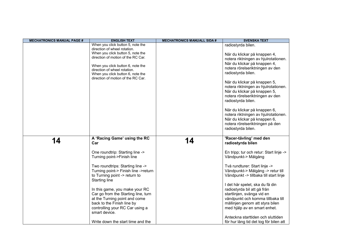| <b>MECHATRONICS MANUAL PAGE #</b> | <b>ENGLISH TEXT</b>                                                                                                                                                                                                           | <b>MECHATRONICS MANUALL SIDA #</b> | <b>SVENSKA TEXT</b>                                                                                                                                                                                                                                                                 |
|-----------------------------------|-------------------------------------------------------------------------------------------------------------------------------------------------------------------------------------------------------------------------------|------------------------------------|-------------------------------------------------------------------------------------------------------------------------------------------------------------------------------------------------------------------------------------------------------------------------------------|
|                                   | When you click button 5, note the                                                                                                                                                                                             |                                    | radiostyrda bilen.                                                                                                                                                                                                                                                                  |
|                                   | direction of wheel rotation.<br>When you click button 5, note the                                                                                                                                                             |                                    |                                                                                                                                                                                                                                                                                     |
|                                   | direction of motion of the RC Car.                                                                                                                                                                                            |                                    | När du klickar på knappen 4,                                                                                                                                                                                                                                                        |
|                                   |                                                                                                                                                                                                                               |                                    | notera riktningen av hjulrotationen.                                                                                                                                                                                                                                                |
|                                   | When you click button 6, note the                                                                                                                                                                                             |                                    | När du klickar på knappen 4,                                                                                                                                                                                                                                                        |
|                                   | direction of wheel rotation.                                                                                                                                                                                                  |                                    | notera rörelseriktningen av den                                                                                                                                                                                                                                                     |
|                                   | When you click button 6, note the                                                                                                                                                                                             |                                    | radiostyrda bilen.                                                                                                                                                                                                                                                                  |
|                                   | direction of motion of the RC Car.                                                                                                                                                                                            |                                    |                                                                                                                                                                                                                                                                                     |
|                                   |                                                                                                                                                                                                                               |                                    | När du klickar på knappen 5,                                                                                                                                                                                                                                                        |
|                                   |                                                                                                                                                                                                                               |                                    | notera riktningen av hjulrotationen.                                                                                                                                                                                                                                                |
|                                   |                                                                                                                                                                                                                               |                                    | När du klickar på knappen 5,                                                                                                                                                                                                                                                        |
|                                   |                                                                                                                                                                                                                               |                                    | notera rörelseriktningen av den                                                                                                                                                                                                                                                     |
|                                   |                                                                                                                                                                                                                               |                                    | radiostyrda bilen.                                                                                                                                                                                                                                                                  |
|                                   |                                                                                                                                                                                                                               |                                    | När du klickar på knappen 6,                                                                                                                                                                                                                                                        |
|                                   |                                                                                                                                                                                                                               |                                    | notera riktningen av hjulrotationen.                                                                                                                                                                                                                                                |
|                                   |                                                                                                                                                                                                                               |                                    | När du klickar på knappen 6,                                                                                                                                                                                                                                                        |
|                                   |                                                                                                                                                                                                                               |                                    | notera rörelseriktningen på den                                                                                                                                                                                                                                                     |
|                                   |                                                                                                                                                                                                                               |                                    | radiostyrda bilen.                                                                                                                                                                                                                                                                  |
|                                   |                                                                                                                                                                                                                               |                                    |                                                                                                                                                                                                                                                                                     |
| 14                                | A 'Racing Game' using the RC                                                                                                                                                                                                  | 14                                 | 'Racer-tävling' med den                                                                                                                                                                                                                                                             |
|                                   | Car                                                                                                                                                                                                                           |                                    | radiostyrda bilen                                                                                                                                                                                                                                                                   |
|                                   | One roundtrip: Starting line ->                                                                                                                                                                                               |                                    | En tripp; tur och retur: Start linje ->                                                                                                                                                                                                                                             |
|                                   | Turning point->Finish line                                                                                                                                                                                                    |                                    | Vändpunkt-> Målgång                                                                                                                                                                                                                                                                 |
|                                   |                                                                                                                                                                                                                               |                                    |                                                                                                                                                                                                                                                                                     |
|                                   | Two roundtrips: Starting line ->                                                                                                                                                                                              |                                    | Två rundturer: Start linje ->                                                                                                                                                                                                                                                       |
|                                   | Turning point-> Finish line ->return                                                                                                                                                                                          |                                    | Vändpunkt-> Målgång -> retur till                                                                                                                                                                                                                                                   |
|                                   | to Turning point -> return to                                                                                                                                                                                                 |                                    | Vändpunkt -> tillbaka till start linje                                                                                                                                                                                                                                              |
|                                   | <b>Starting line</b>                                                                                                                                                                                                          |                                    |                                                                                                                                                                                                                                                                                     |
|                                   |                                                                                                                                                                                                                               |                                    |                                                                                                                                                                                                                                                                                     |
|                                   |                                                                                                                                                                                                                               |                                    |                                                                                                                                                                                                                                                                                     |
|                                   |                                                                                                                                                                                                                               |                                    |                                                                                                                                                                                                                                                                                     |
|                                   |                                                                                                                                                                                                                               |                                    |                                                                                                                                                                                                                                                                                     |
|                                   |                                                                                                                                                                                                                               |                                    |                                                                                                                                                                                                                                                                                     |
|                                   |                                                                                                                                                                                                                               |                                    |                                                                                                                                                                                                                                                                                     |
|                                   |                                                                                                                                                                                                                               |                                    |                                                                                                                                                                                                                                                                                     |
|                                   |                                                                                                                                                                                                                               |                                    |                                                                                                                                                                                                                                                                                     |
|                                   | In this game, you make your RC<br>Car go from the Starting line, turn<br>at the Turning point and come<br>back to the Finish line by<br>controlling your RC Car using a<br>smart device.<br>Write down the start time and the |                                    | I det här spelet, ska du få din<br>radiostyrda bil att gå från<br>startlinjen, svänga vid en<br>vändpunkt och komma tillbaka till<br>mållinjen genom att styra bilen<br>med hjälp av en smart enhet.<br>Anteckna starttiden och sluttiden<br>för hur lång tid det tog för bilen att |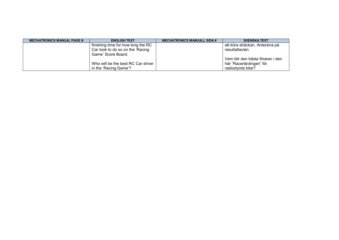| <b>MECHATRONICS MANUAL PAGE #</b> | <b>ENGLISH TEXT</b>                | <b>MECHATRONICS MANUALL SIDA #</b> | <b>SVENSKA TEXT</b>              |
|-----------------------------------|------------------------------------|------------------------------------|----------------------------------|
|                                   | finishing time for how long the RC |                                    | att köra sträckan. Anteckna på   |
|                                   | Car took to do so on the 'Racing   |                                    | resultattavlan.                  |
|                                   | Game' Score Board.                 |                                    |                                  |
|                                   |                                    |                                    | Vem blir den bästa föraren i den |
|                                   | Who will be the best RC Car driver |                                    | här "Racertävlingen" för         |
|                                   | in the 'Racing Game'?              |                                    | radiostyrda bilar?               |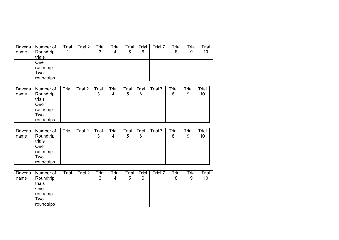| Driver's | Number of  | Trial | Trial 2 | Trial | Trial | Trial | Trial | Trial 7 | $T$ rial | Trial | Trial |
|----------|------------|-------|---------|-------|-------|-------|-------|---------|----------|-------|-------|
| name     | Roundtrip  |       |         | 3     | 4     | 5     | 6     |         |          | 9     | 10    |
|          | trials     |       |         |       |       |       |       |         |          |       |       |
|          | <b>One</b> |       |         |       |       |       |       |         |          |       |       |
|          | roundtrip  |       |         |       |       |       |       |         |          |       |       |
|          | Two        |       |         |       |       |       |       |         |          |       |       |
|          | roundtrips |       |         |       |       |       |       |         |          |       |       |

| Driver's | Number of  | Trial | Trial 2 | Trial | Trial | Trial | Trial | Trial 7 | Trial | Trial | Trial |
|----------|------------|-------|---------|-------|-------|-------|-------|---------|-------|-------|-------|
| name     | Roundtrip  |       |         | 3     | 4     | 5     | 6     |         | 8     | 9     | 10    |
|          | trials     |       |         |       |       |       |       |         |       |       |       |
|          | One        |       |         |       |       |       |       |         |       |       |       |
|          | roundtrip  |       |         |       |       |       |       |         |       |       |       |
|          | Two        |       |         |       |       |       |       |         |       |       |       |
|          | roundtrips |       |         |       |       |       |       |         |       |       |       |

|      | Driver's   Number of | Trial | Trial 2 | Trial | Trial | Trial | Trial | Trial 7 | Trial | Trial | Trial |
|------|----------------------|-------|---------|-------|-------|-------|-------|---------|-------|-------|-------|
| name | Roundtrip            |       |         | 3     | 4     | 5     | 6     |         |       | 9     | 10    |
|      | trials               |       |         |       |       |       |       |         |       |       |       |
|      | <b>One</b>           |       |         |       |       |       |       |         |       |       |       |
|      | roundtrip            |       |         |       |       |       |       |         |       |       |       |
|      | Two                  |       |         |       |       |       |       |         |       |       |       |
|      | roundtrips           |       |         |       |       |       |       |         |       |       |       |

| Driver's | Number of  | Trial | Trial 2 | Trial | Trial | Trial | Trial | rial 7 | Trial | Trial | Trial |
|----------|------------|-------|---------|-------|-------|-------|-------|--------|-------|-------|-------|
| name     | Roundtrip  |       |         | 3     | 4     | 5     | 6     |        | 8     | 9     | 10    |
|          | trials     |       |         |       |       |       |       |        |       |       |       |
|          | <b>One</b> |       |         |       |       |       |       |        |       |       |       |
|          | roundtrip  |       |         |       |       |       |       |        |       |       |       |
|          | Two        |       |         |       |       |       |       |        |       |       |       |
|          | roundtrips |       |         |       |       |       |       |        |       |       |       |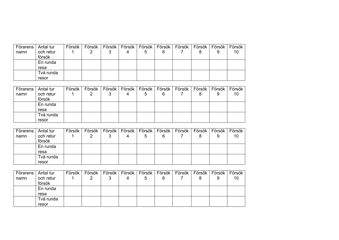| ⊦ Förarens I | Antal tur | Försök | Försök | Försök   Försök   Försök   Försök |   |   | Försök   Försök   Försök |   |   | Försök |
|--------------|-----------|--------|--------|-----------------------------------|---|---|--------------------------|---|---|--------|
| namn         | och retur |        |        |                                   | 5 | 6 |                          | 8 | 9 | 10     |
|              | försök    |        |        |                                   |   |   |                          |   |   |        |
|              | En runda  |        |        |                                   |   |   |                          |   |   |        |
|              | resa      |        |        |                                   |   |   |                          |   |   |        |
|              | Två runda |        |        |                                   |   |   |                          |   |   |        |
|              | resor     |        |        |                                   |   |   |                          |   |   |        |

| Förarens | Antal tur | Försök | Försök | Försök | Försök   Försök   Försök |   | Försök <sup>1</sup> |   | Försök   Försök | Försök |
|----------|-----------|--------|--------|--------|--------------------------|---|---------------------|---|-----------------|--------|
| namn     | och retur |        |        |        | 5                        | 6 |                     | 8 | 9               | 10     |
|          | försök    |        |        |        |                          |   |                     |   |                 |        |
|          | En runda  |        |        |        |                          |   |                     |   |                 |        |
|          | resa      |        |        |        |                          |   |                     |   |                 |        |
|          | Två runda |        |        |        |                          |   |                     |   |                 |        |
|          | resor     |        |        |        |                          |   |                     |   |                 |        |

| Förarens I | Antal tur | Försök | Försök | Försök | Försök | Försök | Försök <sup>i</sup> | Försök | Försök | Försök | Försök |
|------------|-----------|--------|--------|--------|--------|--------|---------------------|--------|--------|--------|--------|
| namn       | och retur |        |        | J      |        | 5      | 6                   |        |        | 9      | 10     |
|            | försök    |        |        |        |        |        |                     |        |        |        |        |
|            | En runda  |        |        |        |        |        |                     |        |        |        |        |
|            | resa      |        |        |        |        |        |                     |        |        |        |        |
|            | Två runda |        |        |        |        |        |                     |        |        |        |        |
|            | resor     |        |        |        |        |        |                     |        |        |        |        |

| Förarens | Antal tur | Försök | Försök l | Försök | Försök   Försök   Försök |   | Försök | Försök   Försök | Försök |
|----------|-----------|--------|----------|--------|--------------------------|---|--------|-----------------|--------|
| namn     | och retur |        |          |        | 5                        | 6 |        | 9               | 10     |
|          | försök    |        |          |        |                          |   |        |                 |        |
|          | En runda  |        |          |        |                          |   |        |                 |        |
|          | resa      |        |          |        |                          |   |        |                 |        |
|          | Två runda |        |          |        |                          |   |        |                 |        |
|          | resor     |        |          |        |                          |   |        |                 |        |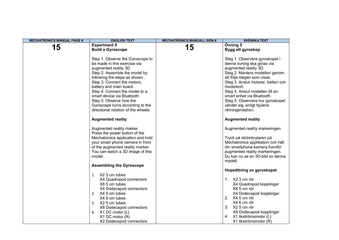| <b>MECHATRONICS MANUAL PAGE #</b> | <b>ENGLISH TEXT</b>                                                                                                                                                                                                                                                                                                                                                                         | <b>MECHATRONICS MANUALL SIDA #</b> | <b>SVENSKA TEXT</b>                                                                                                                                                                                                                                                                                                                                                  |
|-----------------------------------|---------------------------------------------------------------------------------------------------------------------------------------------------------------------------------------------------------------------------------------------------------------------------------------------------------------------------------------------------------------------------------------------|------------------------------------|----------------------------------------------------------------------------------------------------------------------------------------------------------------------------------------------------------------------------------------------------------------------------------------------------------------------------------------------------------------------|
|                                   | <b>Experiment 5</b>                                                                                                                                                                                                                                                                                                                                                                         | 15                                 | Övning 5                                                                                                                                                                                                                                                                                                                                                             |
| 15                                | <b>Build a Gyroscope</b>                                                                                                                                                                                                                                                                                                                                                                    |                                    | Bygg ett gyroskop                                                                                                                                                                                                                                                                                                                                                    |
|                                   | Step 1. Observe the Gyroscope to<br>be made in this exercise via<br>augmented reality 3D.<br>Step 2. Assemble the model by<br>following the steps as shown<br>Step 3. Connect the motors,<br>battery and main board.<br>Step 4. Connect the model to a<br>smart device via Bluetooth.<br>Step 5. Observe how the<br>Gyroscope turns according to the<br>directional rotation of the wheels. |                                    | Steg 1. Observera gyroskopet i<br>denna övning ska göras via<br>augmented reality 3D.<br>Steg 2. Montera modellen genom<br>att följa stegen som visas.<br>Steg 3. Anslut motorer, batteri och<br>moderkort.<br>Steg 4. Anslut modellen till en<br>smart enhet via Bluetooth.<br>Steg 5. Observera hur gyroskopet<br>vänder sig, enligt hjulens<br>riktningsrotation. |
|                                   | <b>Augmented reality</b>                                                                                                                                                                                                                                                                                                                                                                    |                                    | <b>Augmented reality</b>                                                                                                                                                                                                                                                                                                                                             |
|                                   | Augmented reality marker<br>Press the power button of the<br>Mechatronics application and hold<br>your smart phone camera in front<br>of the augmented reality marker.<br>You can watch a 3D image of this<br>model.                                                                                                                                                                        |                                    | Augmented reality markeringen<br>Tryck på strömbrytaren på<br>Mechatronics applikation och håll<br>din smartphone-kamera framför<br>augmented reality markeringen.<br>Du kan nu se en 3D-bild av denna<br>modell.                                                                                                                                                    |
|                                   | <b>Assembling the Gyroscope</b><br>1. X2 3 cm tubes<br>X4 Quadropod connectors<br>X8 5 cm tubes<br>X4 Dodecapod connectors<br>2. X4 5 cm tubes<br>X4 6 cm tubes<br>3. X2 5 cm tubes<br>X8 Dodecapod connectors<br>X1 DC motor (L)<br>4.<br>$X1$ DC motor $(R)$<br>X2 Dodecapod connectors                                                                                                   |                                    | Hopsättning av gyroskopet<br>1. X2 3 cm rör<br>X4 Quadropod kopplingar<br>X8 5 cm rör<br>X4 Dodecapod kopplingar<br>2. X4 5 cm rör<br>X4 6 cm rör<br>3. X2 5 cm rör<br>X8 Dodecapod kopplingar<br>X1 likströmsmotor (L)<br>4.<br>X1 likströmsmotor (R)                                                                                                               |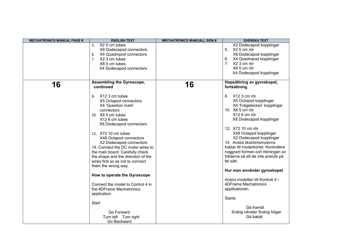| <b>MECHATRONICS MANUAL PAGE #</b> | <b>ENGLISH TEXT</b>                                                                                                                                                                                                                                                                                                                                                                                                                                                                                                                                                                                                               | <b>MECHATRONICS MANUALL SIDA #</b> | <b>SVENSKA TEXT</b>                                                                                                                                                                                                                                                                                                                                                                                                                                                                                                                                                                                               |
|-----------------------------------|-----------------------------------------------------------------------------------------------------------------------------------------------------------------------------------------------------------------------------------------------------------------------------------------------------------------------------------------------------------------------------------------------------------------------------------------------------------------------------------------------------------------------------------------------------------------------------------------------------------------------------------|------------------------------------|-------------------------------------------------------------------------------------------------------------------------------------------------------------------------------------------------------------------------------------------------------------------------------------------------------------------------------------------------------------------------------------------------------------------------------------------------------------------------------------------------------------------------------------------------------------------------------------------------------------------|
|                                   | X2 5 cm tubes<br>5.<br>X8 Dodecapod connectors<br>X4 Quadropod connectors<br>6.<br>7. X2 3 cm tubes<br>X8 5 cm tubes<br>X4 Dodecapod connectors                                                                                                                                                                                                                                                                                                                                                                                                                                                                                   |                                    | X2 Dodecapod kopplingar<br>5. X2 5 cm rör<br>X8 Dodecapod kopplingar<br>6. X4 Quadropod kopplingar<br>7. X2 3 cm rör<br>X8 5 cm rör<br>X4 Dodecapod kopplingar                                                                                                                                                                                                                                                                                                                                                                                                                                                    |
| 16                                | Assembling the Gyroscope,<br>continued<br>X12 3 cm tubes<br>8.<br>X5 Octapod connectors<br>X4 'Question mark'<br>connectors<br>10. X8 5 cm tubes<br>X12 6 cm tubes<br>X8 Dodecapod connectors<br>12. X72 10 cm tubes<br>X48 Octapod connectors<br>X2 Dodecapod connectors<br>14. Connect the DC motor wires to<br>the main board. Carefully check<br>the shape and the direction of the<br>wires first so as not to connect<br>them the wrong way.<br>How to operate the Gyroscope<br>Connect the model to Control 4 in<br>the 4DFrame Mechatronics<br>application.<br>Start<br>Go Forward<br>Turn left Turn right<br>Go Backward | 16                                 | Hopsättning av gyroskopet,<br>fortsättning<br>8. X12 3 cm rör<br>X5 Octopod kopplingar<br>X4 'Frågetecken' kopplingar<br>10. X8 5 cm rör<br>X12 6 cm rör<br>X8 Dodecapod kopplingar<br>12. X72 10 cm rör<br>X48 Octapod kopplingar<br>X2 Dodecapod kopplingar<br>14. Anslut likströmsmotorns<br>kablar till moderkortet. Kontrollera<br>noggrant formen och riktningen av<br>trådarna så att de inte ansluts på<br>fel sätt.<br>Hur man använder gyroskopet<br>Anslut modellen till Kontroll 4 i<br><b>4DFrame Mechatronics</b><br>applikationen.<br>Starta<br>Gå framåt<br>Sväng vänster Sväng höger<br>Gå bakåt |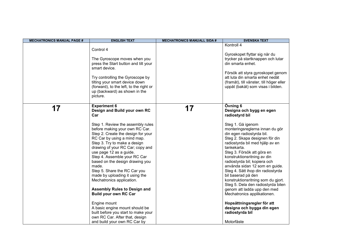| <b>MECHATRONICS MANUAL PAGE #</b> | <b>ENGLISH TEXT</b>                                                                                                                                                                                                                                                                                                                                                                                                                                                                                                                                                                                                                                                                                                | <b>MECHATRONICS MANUALL SIDA #</b> | <b>SVENSKA TEXT</b>                                                                                                                                                                                                                                                                                                                                                                                                                                                                                                                                                                                                                                              |
|-----------------------------------|--------------------------------------------------------------------------------------------------------------------------------------------------------------------------------------------------------------------------------------------------------------------------------------------------------------------------------------------------------------------------------------------------------------------------------------------------------------------------------------------------------------------------------------------------------------------------------------------------------------------------------------------------------------------------------------------------------------------|------------------------------------|------------------------------------------------------------------------------------------------------------------------------------------------------------------------------------------------------------------------------------------------------------------------------------------------------------------------------------------------------------------------------------------------------------------------------------------------------------------------------------------------------------------------------------------------------------------------------------------------------------------------------------------------------------------|
|                                   | Control 4<br>The Gyroscope moves when you<br>press the Start button and tilt your<br>smart device.<br>Try controlling the Gyroscope by<br>tilting your smart device down<br>(forward), to the left, to the right or<br>up (backward) as shown in the<br>picture.                                                                                                                                                                                                                                                                                                                                                                                                                                                   |                                    | Kontroll 4<br>Gyroskopet flyttar sig när du<br>trycker på startknappen och lutar<br>din smarta enhet.<br>Försök att styra gyroskopet genom<br>att luta din smarta enhet nedåt<br>(framåt), till vänster, till höger eller<br>uppåt (bakåt) som visas i bilden.                                                                                                                                                                                                                                                                                                                                                                                                   |
| 17                                | <b>Experiment 6</b><br>Design and Build your own RC<br>Car<br>Step 1. Review the assembly rules<br>before making your own RC Car.<br>Step 2. Create the design for your<br>RC Car by using a mind map.<br>Step 3. Try to make a design<br>drawing of your RC Car; copy and<br>use page 12 as a guide.<br>Step 4. Assemble your RC Car<br>based on the design drawing you<br>made.<br>Step 5. Share the RC Car you<br>made by uploading it using the<br>Mechatronics application.<br><b>Assembly Rules to Design and</b><br><b>Build your own RC Car</b><br>Engine mount<br>A basic engine mount should be<br>built before you start to make your<br>own RC Car. After that, design<br>and build your own RC Car by | 17                                 | Övning 6<br>Designa och bygg en egen<br>radiostyrd bil<br>Steg 1. Gå igenom<br>monteringsreglerna innan du gör<br>din egen radiostyrda bil.<br>Steg 2. Skapa designen för din<br>radiostyrda bil med hjälp av en<br>tankekarta.<br>Steg 3. Försök att göra en<br>konstruktionsritning av din<br>radiostyrda bil; kopiera och<br>använda sidan 12 som en guide.<br>Steg 4. Sätt ihop din radiostyrda<br>bil baserad på den<br>konstruktionsritning som du gjort.<br>Steg 5. Dela den radiostyrda bilen<br>genom att ladda upp den med<br>Mechatronics applikationen.<br>Hopsättningsregler för att<br>designa och bygga din egen<br>radiostyrda bil<br>Motorfäste |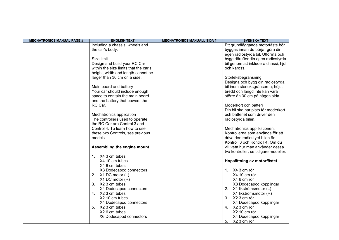| <b>MECHATRONICS MANUAL PAGE #</b> | <b>ENGLISH TEXT</b>                   | <b>MECHATRONICS MANUALL SIDA #</b> | <b>SVENSKA TEXT</b>                          |
|-----------------------------------|---------------------------------------|------------------------------------|----------------------------------------------|
|                                   | including a chassis, wheels and       |                                    | Ett grundläggande motorfäste bör             |
|                                   | the car's body.                       |                                    | byggas innan du börjar göra din              |
|                                   |                                       |                                    | egen radiostyrda bil. Utforma och            |
|                                   | Size limit                            |                                    | bygg därefter din egen radiostyrda           |
|                                   | Design and build your RC Car          |                                    | bil genom att inkludera chassi, hjul         |
|                                   | within the size limits that the car's |                                    | och kaross.                                  |
|                                   | height, width and length cannot be    |                                    |                                              |
|                                   | larger than 30 cm on a side.          |                                    | Storleksbegränsning                          |
|                                   |                                       |                                    | Designa och bygg din radiostyrda             |
|                                   | Main board and battery                |                                    | bil inom storleksgränserna; höjd,            |
|                                   | Your car should include enough        |                                    | bredd och längd inte kan vara                |
|                                   | space to contain the main board       |                                    | större än 30 cm på någon sida.               |
|                                   | and the battery that powers the       |                                    |                                              |
|                                   | RC Car.                               |                                    | Moderkort och batteri                        |
|                                   |                                       |                                    | Din bil ska har plats för moderkort          |
|                                   | Mechatronics application              |                                    | och batteriet som driver den                 |
|                                   | The controllers used to operate       |                                    | radiostyrda bilen.                           |
|                                   | the RC Car are Control 3 and          |                                    |                                              |
|                                   | Control 4. To learn how to use        |                                    | Mechatronics applikationen.                  |
|                                   | these two Controls, see previous      |                                    | Kontrollerna som används för att             |
|                                   | models.                               |                                    | driva den radiostyrd bilen är                |
|                                   |                                       |                                    | Kontroll 3 och Kontroll 4. Om du             |
|                                   | Assembling the engine mount           |                                    | vill veta hur man använder dessa             |
|                                   |                                       |                                    | två kontroller, se tidigare modeller.        |
|                                   | 1. X4 3 cm tubes                      |                                    |                                              |
|                                   | X4 10 cm tubes                        |                                    | Hopsättning av motorfästet                   |
|                                   | X4 6 cm tubes                         |                                    |                                              |
|                                   | X8 Dodecapod connectors               |                                    | 1. X4 3 cm rör                               |
|                                   | 2.<br>X1 DC motor (L)                 |                                    | X4 10 cm rör                                 |
|                                   | $X1$ DC motor $(R)$                   |                                    | X4 6 cm rör                                  |
|                                   | X2 3 cm tubes<br>3.                   |                                    | X8 Dodecapod kopplingar                      |
|                                   | X4 Dodecapod connectors               |                                    | X1 likströmsmotor (L)<br>2.                  |
|                                   | 4. X2 3 cm tubes                      |                                    | X1 likströmsmotor (R)                        |
|                                   | X2 10 cm tubes                        |                                    | 3. X2 3 cm rör                               |
|                                   | X4 Dodecapod connectors               |                                    | X4 Dodecapod kopplingar                      |
|                                   | X2 3 cm tubes<br>5.                   |                                    | 4. X2 3 cm rör                               |
|                                   | X2 6 cm tubes                         |                                    | X2 10 cm rör                                 |
|                                   |                                       |                                    |                                              |
|                                   | X6 Dodecapod connectors               |                                    | X4 Dodecapod kopplingar<br>5.<br>X2 3 cm rör |
|                                   |                                       |                                    |                                              |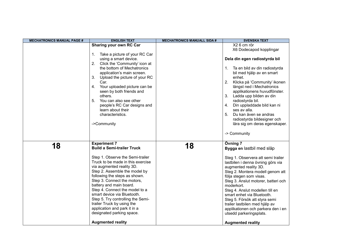| <b>MECHATRONICS MANUAL PAGE #</b> | <b>ENGLISH TEXT</b>                                                                                                                                                                                                                                                                                                                                                                                                                                                                                                     | <b>MECHATRONICS MANUALL SIDA #</b> | <b>SVENSKA TEXT</b>                                                                                                                                                                                                                                                                                                                                                                                                                                                                            |
|-----------------------------------|-------------------------------------------------------------------------------------------------------------------------------------------------------------------------------------------------------------------------------------------------------------------------------------------------------------------------------------------------------------------------------------------------------------------------------------------------------------------------------------------------------------------------|------------------------------------|------------------------------------------------------------------------------------------------------------------------------------------------------------------------------------------------------------------------------------------------------------------------------------------------------------------------------------------------------------------------------------------------------------------------------------------------------------------------------------------------|
|                                   | Sharing your own RC Car<br>Take a picture of your RC Car<br>1.<br>using a smart device.<br>2. Click the 'Community' icon at<br>the bottom of Mechatronics<br>application's main screen.<br>Upload the picture of your RC<br>3.<br>Car.<br>Your uploaded picture can be<br>4.<br>seen by both friends and<br>others.<br>5 <sub>1</sub><br>You can also see other<br>people's RC Car designs and<br>learn about their<br>characteristics.<br>->Community                                                                  |                                    | X2 6 cm rör<br>X6 Dodecapod kopplingar<br>Dela din egen radiostyrda bil<br>1. Ta en bild av din radiostyrda<br>bil med hjälp av en smart<br>enhet.<br>2. Klicka på 'Community' ikonen<br>längst ned i Mechatronics<br>applikationens huvudfönster.<br>3. Ladda upp bilden av din<br>radiostyrda bil.<br>4. Din uppladdade bild kan ni<br>ses av alla.<br>Du kan även se andras<br>5.<br>radiostyrda bildesigner och<br>lära sig om deras egenskaper.<br>-> Community                           |
| 18                                | <b>Experiment 7</b><br><b>Build a Semi-trailer Truck</b><br>Step 1. Observe the Semi-trailer<br>Truck to be made in this exercise<br>via augmented reality 3D.<br>Step 2. Assemble the model by<br>following the steps as shown.<br>Step 3. Connect the motors,<br>battery and main board.<br>Step 4. Connect the model to a<br>smart device via Bluetooth.<br>Step 5. Try controlling the Semi-<br>trailer Truck by using the<br>application and park it in a<br>designated parking space.<br><b>Augmented reality</b> | 18                                 | Övning 7<br>Bygga en lastbil med släp<br>Steg 1. Observera att semi trailer<br>lastbilen i denna övning görs via<br>augmented reality 3D.<br>Steg 2. Montera modell genom att<br>följa stegen som visas.<br>Steg 3. Anslut motorer, batteri och<br>moderkort.<br>Steg 4. Anslut modellen till en<br>smart enhet via Bluetooth.<br>Steg 5. Försök att styra semi<br>trailer lastbilen med hjälp av<br>applikationen och parkera den i en<br>utsedd parkeringsplats.<br><b>Augmented reality</b> |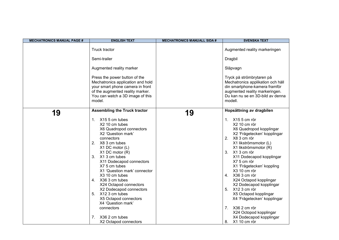| <b>MECHATRONICS MANUAL PAGE #</b> | <b>ENGLISH TEXT</b>                                                                                                                                                                                                                                                                                                                                                                                                                                                                                           | <b>MECHATRONICS MANUALL SIDA #</b> | <b>SVENSKA TEXT</b>                                                                                                                                                                                                                                                                                                                                                                                                                                                                      |
|-----------------------------------|---------------------------------------------------------------------------------------------------------------------------------------------------------------------------------------------------------------------------------------------------------------------------------------------------------------------------------------------------------------------------------------------------------------------------------------------------------------------------------------------------------------|------------------------------------|------------------------------------------------------------------------------------------------------------------------------------------------------------------------------------------------------------------------------------------------------------------------------------------------------------------------------------------------------------------------------------------------------------------------------------------------------------------------------------------|
|                                   | Truck tractor                                                                                                                                                                                                                                                                                                                                                                                                                                                                                                 |                                    | Augmented reality markeringen                                                                                                                                                                                                                                                                                                                                                                                                                                                            |
|                                   | Semi-trailer                                                                                                                                                                                                                                                                                                                                                                                                                                                                                                  |                                    | Dragbil                                                                                                                                                                                                                                                                                                                                                                                                                                                                                  |
|                                   | Augmented reality marker                                                                                                                                                                                                                                                                                                                                                                                                                                                                                      |                                    | Släpvagn                                                                                                                                                                                                                                                                                                                                                                                                                                                                                 |
|                                   | Press the power button of the<br>Mechatronics application and hold<br>your smart phone camera in front<br>of the augmented reality marker.<br>You can watch a 3D image of this<br>model.                                                                                                                                                                                                                                                                                                                      |                                    | Tryck på strömbrytaren på<br>Mechatronics applikation och håll<br>din smartphone-kamera framför<br>augmented reality markeringen.<br>Du kan nu se en 3D-bild av denna<br>modell.                                                                                                                                                                                                                                                                                                         |
| 19                                | <b>Assembling the Truck tractor</b><br>X15 5 cm tubes<br>1.<br>X2 10 cm tubes<br>X6 Quadropod connectors<br>X2 'Question mark'<br>connectors<br>2.<br>X8 3 cm tubes<br>X1 DC motor (L)<br>X1 DC motor (R)<br>3.<br>X1 3 cm tubes<br>X11 Dodecapod connectors<br>X7 5 cm tubes<br>X1 'Question mark' connector<br>X <sub>3</sub> 10 cm tubes<br>X36 3 cm tubes<br>4.<br>X24 Octapod connectors<br>X2 Dodecapod connectors<br>X12 3 cm tubes<br>5.<br>X5 Octapod connectors<br>X4 'Question mark'<br>connectors | 19                                 | Hopsättning av dragbilen<br>1. X15 5 cm rör<br>X2 10 cm rör<br>X6 Quadropod kopplingar<br>X2 'Frågetecken' kopplingar<br>2. X8 3 cm rör<br>X1 likströmsmotor (L)<br>X1 likströmsmotor (R)<br>3. X1 3 cm rör<br>X11 Dodecapod kopplingar<br>X7 5 cm rör<br>X1 'Frågetecken' koppling<br>X3 10 cm rör<br>4. X36 3 cm rör<br>X24 Octapod kopplingar<br>X2 Dodecapod kopplingar<br>5. X12 3 cm rör<br>X5 Octapod kopplingar<br>X4 'Frågetecken' kopplingar<br>X36 2 cm rör<br>7 <sub>1</sub> |
|                                   | 7.<br>X36 2 cm tubes<br>X2 Octapod connectors                                                                                                                                                                                                                                                                                                                                                                                                                                                                 |                                    | X24 Octopod kopplingar<br>X4 Dodecapod kopplingar<br>X1 10 cm rör<br>8.                                                                                                                                                                                                                                                                                                                                                                                                                  |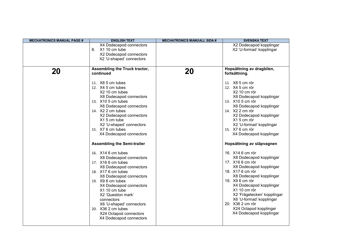| <b>ENGLISH TEXT</b><br><b>SVENSKA TEXT</b><br><b>MECHATRONICS MANUAL PAGE #</b><br><b>MECHATRONICS MANUALL SIDA #</b>                                                                                                                                                                                                                                                                                                                                                                                                                                                                                                                                                                                                                                                                                                                                                                                                                                                                                                                                                                                                                                                                                                                                                                                                                                                                                                                          |  |
|------------------------------------------------------------------------------------------------------------------------------------------------------------------------------------------------------------------------------------------------------------------------------------------------------------------------------------------------------------------------------------------------------------------------------------------------------------------------------------------------------------------------------------------------------------------------------------------------------------------------------------------------------------------------------------------------------------------------------------------------------------------------------------------------------------------------------------------------------------------------------------------------------------------------------------------------------------------------------------------------------------------------------------------------------------------------------------------------------------------------------------------------------------------------------------------------------------------------------------------------------------------------------------------------------------------------------------------------------------------------------------------------------------------------------------------------|--|
| X2 Dodecapod kopplingar<br>X4 Dodecapod connectors<br>8.<br>X1 10 cm tube<br>X2 'U-formad' kopplingar<br>X2 Dodecapod connectors<br>X2 'U-shaped' connectors                                                                                                                                                                                                                                                                                                                                                                                                                                                                                                                                                                                                                                                                                                                                                                                                                                                                                                                                                                                                                                                                                                                                                                                                                                                                                   |  |
| Assembling the Truck tractor,<br>Hopsättning av dragbilen,<br>20<br>20<br>continued<br>fortsättning.<br>11. X8 5 cm tubes<br>11. X8 5 cm rör<br>12. X4 5 cm tubes<br>12. X4 5 cm rör<br>X2 10 cm tubes<br>X2 10 cm rör<br>X8 Dodecapod connectors<br>X8 Dodecapod kopplingar<br>13. X10 5 cm tubes<br>13. X10 5 cm rör<br>X6 Dodecapod kopplingar<br>X6 Dodecapod connectors<br>14. X2 2 cm tubes<br>14. X2 2 cm rör<br>X2 Dodecapod kopplingar<br>X2 Dodecapod connectors<br>X15 cm tube<br>X15 cm rör<br>X2 'U-shaped' connectors<br>X2 'U-formad' kopplingar<br>15. X7 6 cm tubes<br>15. X7 6 cm rör<br>X4 Dodecapod connectors<br>X4 Dodecapod kopplingar<br><b>Assembling the Semi-trailer</b><br>Hopsättning av släpvagnen<br>16. X14 6 cm tubes<br>16. X14 6 cm rör<br>X8 Dodecapod kopplingar<br>X8 Dodecapod connectors<br>17. X16 6 cm rör<br>17. X16 6 cm tubes<br>X8 Dodecapod kopplingar<br>X8 Dodecapod connectors<br>18. X17 6 cm rör<br>18. X17 6 cm tubes<br>X8 Dodecapod kopplingar<br>X8 Dodecapod connectors<br>19. X9 6 cm rör<br>19. X9 6 cm tubes<br>X4 Dodecapod kopplingar<br>X4 Dodecapod connectors<br>X1 10 cm tube<br>X1 10 cm rör<br>X2 'Question mark'<br>X2 'Frågetecken' kopplingar<br>X6 'U-formad' kopplingar<br>connectors<br>20. X36 2 cm rör<br>X6 'U-shaped' connectors<br>X24 Octapod kopplingar<br>20. X36 2 cm tubes<br>X4 Dodecapod kopplingar<br>X24 Octapod connectors<br>X4 Dodecapod connectors |  |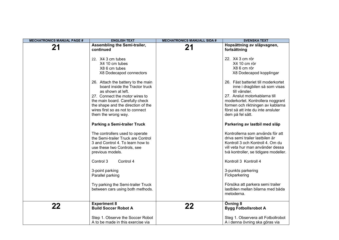| <b>MECHATRONICS MANUAL PAGE #</b> | <b>ENGLISH TEXT</b>                                                                                                                                                                                                                                             | <b>MECHATRONICS MANUALL SIDA #</b> | <b>SVENSKA TEXT</b>                                                                                                                                                                                                                                        |
|-----------------------------------|-----------------------------------------------------------------------------------------------------------------------------------------------------------------------------------------------------------------------------------------------------------------|------------------------------------|------------------------------------------------------------------------------------------------------------------------------------------------------------------------------------------------------------------------------------------------------------|
| 21                                | Assembling the Semi-trailer,<br>continued                                                                                                                                                                                                                       | 21                                 | Hopsättning av släpvagnen,<br>fortsättning                                                                                                                                                                                                                 |
|                                   | 22. X4 3 cm tubes<br>X4 10 cm tubes<br>X8 6 cm tubes<br>X8 Dodecapod connectors                                                                                                                                                                                 |                                    | 22. X4 3 cm rör<br>X4 10 cm rör<br>X8 6 cm rör<br>X8 Dodecapod kopplingar                                                                                                                                                                                  |
|                                   | 26. Attach the battery to the main<br>board inside the Tractor truck<br>as shown at left.<br>27. Connect the motor wires to<br>the main board. Carefully check<br>the shape and the direction of the<br>wires first so as not to connect<br>them the wrong way. |                                    | 26. Fäst batteriet till moderkortet<br>inne i dragbilen så som visas<br>till vänster.<br>27. Anslut motorkablarna till<br>moderkortet. Kontrollera noggrant<br>formen och riktningen av kablarna<br>först så att inte du inte ansluter<br>dem på fel sätt. |
|                                   | <b>Parking a Semi-trailer Truck</b>                                                                                                                                                                                                                             |                                    | Parkering av lastbil med släp                                                                                                                                                                                                                              |
|                                   | The controllers used to operate<br>the Semi-trailer Truck are Control<br>3 and Control 4. To learn how to<br>use these two Controls, see<br>previous models.                                                                                                    |                                    | Kontrollerna som används för att<br>driva semi trailer lastbilen är<br>Kontroll 3 och Kontroll 4. Om du<br>vill veta hur man använder dessa<br>två kontroller, se tidigare modeller.                                                                       |
|                                   | Control 3<br>Control 4                                                                                                                                                                                                                                          |                                    | Kontroll 3 Kontroll 4                                                                                                                                                                                                                                      |
|                                   | 3-point parking<br>Parallel parking                                                                                                                                                                                                                             |                                    | 3-punkts parkering<br>Fickparkering                                                                                                                                                                                                                        |
|                                   | Try parking the Semi-trailer Truck<br>between cars using both methods.                                                                                                                                                                                          |                                    | Försöka att parkera semi trailer<br>lastbilen mellan bilarna med båda<br>metoderna.                                                                                                                                                                        |
| 22                                | <b>Experiment 8</b><br><b>Build Soccer Robot A</b>                                                                                                                                                                                                              | 22                                 | Övning 8<br><b>Bygg Fotbollsrobot A</b>                                                                                                                                                                                                                    |
|                                   | Step 1. Observe the Soccer Robot<br>A to be made in this exercise via                                                                                                                                                                                           |                                    | Steg 1. Observera att Fotbollrobot<br>A i denna övning ska göras via                                                                                                                                                                                       |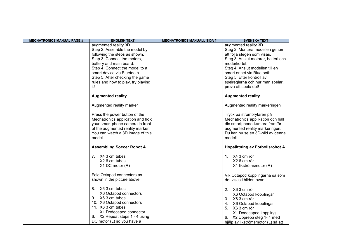| <b>MECHATRONICS MANUAL PAGE #</b> | <b>ENGLISH TEXT</b>                | <b>MECHATRONICS MANUALL SIDA #</b> | <b>SVENSKA TEXT</b>                 |
|-----------------------------------|------------------------------------|------------------------------------|-------------------------------------|
|                                   | augmented reality 3D.              |                                    | augmented reality 3D.               |
|                                   | Step 2. Assemble the model by      |                                    | Steg 2. Montera modellen genom      |
|                                   | following the steps as shown.      |                                    | att följa stegen som visas.         |
|                                   | Step 3. Connect the motors,        |                                    | Steg 3. Anslut motorer, batteri och |
|                                   | battery and main board.            |                                    | moderkortet.                        |
|                                   | Step 4. Connect the model to a     |                                    | Steg 4. Anslut modellen till en     |
|                                   | smart device via Bluetooth.        |                                    | smart enhet via Bluetooth.          |
|                                   | Step 5. After checking the game    |                                    | Steg 5. Efter kontroll av           |
|                                   | rules and how to play, try playing |                                    | spelreglerna och hur man spelar,    |
|                                   | it!                                |                                    | prova att spela det!                |
|                                   | <b>Augmented reality</b>           |                                    | <b>Augmented reality</b>            |
|                                   | Augmented reality marker           |                                    | Augmented reality markeringen       |
|                                   | Press the power button of the      |                                    | Tryck på strömbrytaren på           |
|                                   | Mechatronics application and hold  |                                    | Mechatronics applikation och håll   |
|                                   | your smart phone camera in front   |                                    | din smartphone-kamera framför       |
|                                   | of the augmented reality marker.   |                                    | augmented reality markeringen.      |
|                                   | You can watch a 3D image of this   |                                    | Du kan nu se en 3D-bild av denna    |
|                                   | model.                             |                                    | modell.                             |
|                                   | <b>Assembling Soccer Robot A</b>   |                                    | Hopsättning av Fotbollsrobot A      |
|                                   | 7. X4 3 cm tubes                   |                                    | 1. X4 3 cm rör                      |
|                                   | X2 6 cm tubes                      |                                    | X2 6 cm rör                         |
|                                   | X1 DC motor (R)                    |                                    | X1 likströmsmotor (R)               |
|                                   |                                    |                                    |                                     |
|                                   | Fold Octapod connectors as         |                                    | Vik Octapod kopplingarna så som     |
|                                   | shown in the picture above         |                                    | det visas i bilden ovan             |
|                                   | 8. X6 3 cm tubes                   |                                    | 2. X6 3 cm rör                      |
|                                   | X6 Octapod connectors              |                                    | X6 Octapod kopplingar               |
|                                   | 9. X6 3 cm tubes                   |                                    | 3. X6 3 cm rör                      |
|                                   | 10. X6 Octapod connectors          |                                    | X6 Octapod kopplingar<br>4.         |
|                                   | 11. X6 3 cm tubes                  |                                    | 5. X6 3 cm rör                      |
|                                   | X1 Dodecapod connector             |                                    | X1 Dodecapod koppling               |
|                                   | 6. X2 Repeat steps 1 - 4 using     |                                    | X2 Upprepa steg 1-4 med<br>6.       |
|                                   | DC motor (L) so you have a         |                                    | hjälp av likströmsmotor (L) så att  |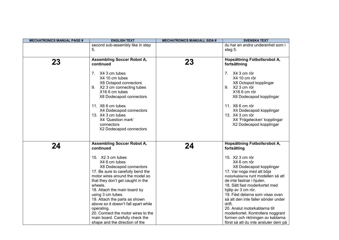| <b>MECHATRONICS MANUAL PAGE #</b> | <b>ENGLISH TEXT</b>                                                                                                                                                                                                                                                                                                                                                                                                                                                                            | <b>MECHATRONICS MANUALL SIDA #</b> | <b>SVENSKA TEXT</b>                                                                                                                                                                                                                                                                                                                                                                                                                                                                                    |
|-----------------------------------|------------------------------------------------------------------------------------------------------------------------------------------------------------------------------------------------------------------------------------------------------------------------------------------------------------------------------------------------------------------------------------------------------------------------------------------------------------------------------------------------|------------------------------------|--------------------------------------------------------------------------------------------------------------------------------------------------------------------------------------------------------------------------------------------------------------------------------------------------------------------------------------------------------------------------------------------------------------------------------------------------------------------------------------------------------|
|                                   | second sub-assembly like in step<br>5.                                                                                                                                                                                                                                                                                                                                                                                                                                                         |                                    | du har en andra underenhet som i<br>steg 5.                                                                                                                                                                                                                                                                                                                                                                                                                                                            |
| 23                                | <b>Assembling Soccer Robot A,</b><br>continued<br>7. X4 3 cm tubes<br>X4 10 cm tubes<br>X8 Octapod connectors<br>9. X2 3 cm connecting tubes<br>X16 6 cm tubes<br>X8 Dodecapod connectors<br>11. X6 6 cm tubes<br>X4 Dodecapod connectors<br>13. X4 3 cm tubes<br>X4 'Question mark'<br>connectors<br>X2 Dodecapod connectors                                                                                                                                                                  | 23                                 | Hopsättning Fotbollsrobot A,<br>fortsättning<br>7. X4 3 cm rör<br>X4 10 cm rör<br>X8 Octopod kopplingar<br>9. X2 3 cm rör<br>X16 6 cm rör<br>X8 Dodecapod kopplingar<br>11. X6 6 cm rör<br>X4 Dodecapod kopplingar<br>13. X4 3 cm rör<br>X4 'Frågetecken' kopplingar<br>X2 Dodecapod kopplingar                                                                                                                                                                                                        |
| 24                                | <b>Assembling Soccer Robot A,</b><br>continued<br>15. X2 3 cm tubes<br>X4 6 cm tubes<br>X8 Dodecapod connectors<br>17. Be sure to carefully bend the<br>motor wires around the model so<br>that they don't get caught in the<br>wheels.<br>18. Attach the main board by<br>using 3 cm tubes.<br>19. Attach the parts as shown<br>above so it doesn't fall apart while<br>operating.<br>20. Connect the motor wires to the<br>main board. Carefully check the<br>shape and the direction of the | 24                                 | Hopsättning Fotbollsrobot A,<br>fortsätting<br>15. X2 3 cm rör<br>X4 6 cm rör<br>X8 Dodecapod kopplingar<br>17. Var noga med att böja<br>motorkablarna runt modellen så att<br>de inte fastnar i hjulen.<br>18. Sätt fast moderkortet med<br>hjälp av 3 cm rör.<br>19. Fäst delarna som visas ovan<br>så att den inte faller sönder under<br>drift.<br>20. Anslut motorkablarna till<br>moderkortet. Kontrollera noggrant<br>formen och riktningen av kablarna<br>först så att du inte ansluter dem på |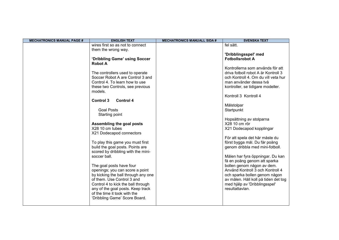| <b>MECHATRONICS MANUAL PAGE #</b> | <b>ENGLISH TEXT</b>                         | <b>MECHATRONICS MANUALL SIDA #</b> | <b>SVENSKA TEXT</b>                                        |
|-----------------------------------|---------------------------------------------|------------------------------------|------------------------------------------------------------|
|                                   | wires first so as not to connect            |                                    | fel sätt.                                                  |
|                                   | them the wrong way.                         |                                    |                                                            |
|                                   |                                             |                                    | 'Dribblingsspel' med                                       |
|                                   | 'Dribbling Game' using Soccer               |                                    | <b>Fotbollsrobot A</b>                                     |
|                                   | <b>Robot A</b>                              |                                    |                                                            |
|                                   |                                             |                                    | Kontrollerna som används för att                           |
|                                   | The controllers used to operate             |                                    | driva fotboll robot A är Kontroll 3                        |
|                                   | Soccer Robot A are Control 3 and            |                                    | och Kontroll 4. Om du vill veta hur                        |
|                                   | Control 4. To learn how to use              |                                    | man använder dessa två                                     |
|                                   | these two Controls, see previous<br>models. |                                    | kontroller, se tidigare modeller.                          |
|                                   |                                             |                                    | Kontroll 3 Kontroll 4                                      |
|                                   | <b>Control 4</b><br><b>Control 3</b>        |                                    |                                                            |
|                                   |                                             |                                    | Målstolpar                                                 |
|                                   | <b>Goal Posts</b>                           |                                    | Startpunkt                                                 |
|                                   | Starting point                              |                                    |                                                            |
|                                   |                                             |                                    | Hopsättning av stolparna                                   |
|                                   | Assembling the goal posts                   |                                    | X28 10 cm rör                                              |
|                                   | X28 10 cm tubes                             |                                    | X21 Dodecapod kopplingar                                   |
|                                   | X21 Dodecapod connectors                    |                                    |                                                            |
|                                   |                                             |                                    | För att spela det här måste du                             |
|                                   | To play this game you must first            |                                    | först bygga mål. Du får poäng                              |
|                                   | build the goal posts. Points are            |                                    | genom dribbla med mini-fotboll.                            |
|                                   | scored by dribbling with the mini-          |                                    |                                                            |
|                                   | soccer ball.                                |                                    | Målen har fyra öppningar. Du kan                           |
|                                   | The goal posts have four                    |                                    | få en poäng genom att sparka<br>bollen genom någon av dem. |
|                                   | openings; you can score a point             |                                    | Använd Kontroll 3 och Kontroll 4                           |
|                                   | by kicking the ball through any one         |                                    | och sparka bollen genom någon                              |
|                                   | of them. Use Control 3 and                  |                                    | av målen. Håll koll på tiden det tog                       |
|                                   | Control 4 to kick the ball through          |                                    | med hjälp av 'Dribblingsspel'                              |
|                                   | any of the goal posts. Keep track           |                                    | resultattavlan.                                            |
|                                   | of the time it took with the                |                                    |                                                            |
|                                   | 'Dribbling Game' Score Board.               |                                    |                                                            |
|                                   |                                             |                                    |                                                            |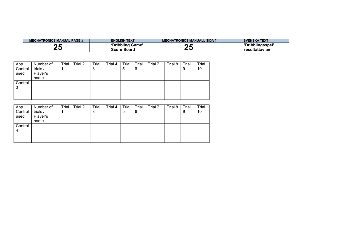| <b>MECHATRONICS MANUAL PAGE #</b> | <b>ENGLISH TEXT</b> | <b>MECHATRONICS MANUALL SIDA #</b> | <b>SVENSKA TEXT</b> |
|-----------------------------------|---------------------|------------------------------------|---------------------|
| -                                 | 'Dribbling Game'    | - -                                | 'Dribblingsspel'    |
| -v                                | <b>Score Board</b>  | $\ddot{\phantom{0}}$               | resultattavlan      |

| App<br>Control<br>used | Number of<br>trials /<br>Player's<br>name | Trial | Trial 2 | Trial<br>3 | Trial 4 | Trial<br>5 | Trial<br>6 | Trial 7 | Trial 8 | Trial<br>9 | Trial<br>10 |
|------------------------|-------------------------------------------|-------|---------|------------|---------|------------|------------|---------|---------|------------|-------------|
| Control                |                                           |       |         |            |         |            |            |         |         |            |             |
|                        |                                           |       |         |            |         |            |            |         |         |            |             |
| 3                      |                                           |       |         |            |         |            |            |         |         |            |             |
|                        |                                           |       |         |            |         |            |            |         |         |            |             |
|                        |                                           |       |         |            |         |            |            |         |         |            |             |

| App     | Number of | Trial | Trial 2 | Trial | Trial 4 | Trial | Trial | Trial 7 | Trial 8 | Trial | Trial |
|---------|-----------|-------|---------|-------|---------|-------|-------|---------|---------|-------|-------|
| Control | trials /  |       |         | 3     |         | 5     | 6     |         |         | 9     | 10    |
| used    | Player's  |       |         |       |         |       |       |         |         |       |       |
|         | name      |       |         |       |         |       |       |         |         |       |       |
| Control |           |       |         |       |         |       |       |         |         |       |       |
| 4       |           |       |         |       |         |       |       |         |         |       |       |
|         |           |       |         |       |         |       |       |         |         |       |       |
|         |           |       |         |       |         |       |       |         |         |       |       |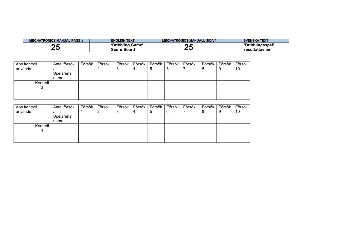| <b>MECHATRONICS MANUAL PAGE #</b> | <b>ENGLISH TEXT</b> | <b>ECHATRONICS MANUALL SIDA #</b> | <b>SVENSKA TEXT</b> |
|-----------------------------------|---------------------|-----------------------------------|---------------------|
|                                   | 'Dribbling Game'    |                                   | 'Dribblingsspel'    |
|                                   | <b>Score Board</b>  |                                   | resultattavlan      |

| App kontroll | Antal försök | Försök | Försök | Försök | Försök |   | Försök   Försök   Försök |   | Försök   Försök | Försök |
|--------------|--------------|--------|--------|--------|--------|---|--------------------------|---|-----------------|--------|
| används      |              |        |        | J      | 4      | ხ |                          | Ö |                 | 10     |
|              | Spelarens    |        |        |        |        |   |                          |   |                 |        |
|              | namn         |        |        |        |        |   |                          |   |                 |        |
| Kontroll     |              |        |        |        |        |   |                          |   |                 |        |
|              |              |        |        |        |        |   |                          |   |                 |        |
|              |              |        |        |        |        |   |                          |   |                 |        |
|              |              |        |        |        |        |   |                          |   |                 |        |

| App kontroll | Antal försök | Försök | Försök | Försök   Försök | Försök | Försök | Försök | Försök | Försök | Försök |
|--------------|--------------|--------|--------|-----------------|--------|--------|--------|--------|--------|--------|
| används      |              |        |        |                 | 5      | 6      |        | 8      |        | 10     |
|              | Spelarens    |        |        |                 |        |        |        |        |        |        |
|              | namn         |        |        |                 |        |        |        |        |        |        |
| Kontroll     |              |        |        |                 |        |        |        |        |        |        |
|              |              |        |        |                 |        |        |        |        |        |        |
|              |              |        |        |                 |        |        |        |        |        |        |
|              |              |        |        |                 |        |        |        |        |        |        |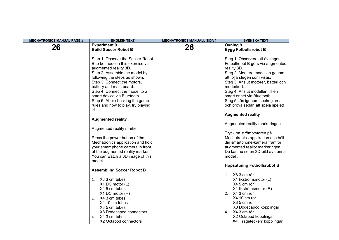| <b>MECHATRONICS MANUAL PAGE #</b> | <b>ENGLISH TEXT</b>                                                                                                                                                                                                                                                                                                                                                         | <b>MECHATRONICS MANUALL SIDA #</b> | <b>SVENSKA TEXT</b>                                                                                                                                                                                                                                                                                                                              |
|-----------------------------------|-----------------------------------------------------------------------------------------------------------------------------------------------------------------------------------------------------------------------------------------------------------------------------------------------------------------------------------------------------------------------------|------------------------------------|--------------------------------------------------------------------------------------------------------------------------------------------------------------------------------------------------------------------------------------------------------------------------------------------------------------------------------------------------|
| 26                                | <b>Experiment 9</b><br><b>Build Soccer Robot B</b>                                                                                                                                                                                                                                                                                                                          | 26                                 | Övning 9<br><b>Bygg Fotbollsrobot B</b>                                                                                                                                                                                                                                                                                                          |
|                                   | Step 1. Observe the Soccer Robot<br>B to be made in this exercise via<br>augmented reality 3D.<br>Step 2. Assemble the model by<br>following the steps as shown.<br>Step 3. Connect the motors,<br>battery and main board.<br>Step 4. Connect the model to a<br>smart device via Bluetooth.<br>Step 5. After checking the game<br>rules and how to play, try playing<br>it! |                                    | Steg 1. Observera att övningen<br>Fotbollrobot B görs via augmented<br>reality 3D.<br>Steg 2. Montera modellen genom<br>att följa stegen som visas.<br>Steg 3. Anslut motorer, batteri och<br>moderkort.<br>Steg 4. Anslut modellen till en<br>smart enhet via Bluetooth.<br>Steg 5.Läs igenom spelreglerna<br>och prova sedan att spela spelet! |
|                                   |                                                                                                                                                                                                                                                                                                                                                                             |                                    | <b>Augmented reality</b>                                                                                                                                                                                                                                                                                                                         |
|                                   | <b>Augmented reality</b><br>Augmented reality marker                                                                                                                                                                                                                                                                                                                        |                                    | Augmented reality markeringen                                                                                                                                                                                                                                                                                                                    |
|                                   | Press the power button of the<br>Mechatronics application and hold<br>your smart phone camera in front<br>of the augmented reality marker.<br>You can watch a 3D image of this<br>model.                                                                                                                                                                                    |                                    | Tryck på strömbrytaren på<br>Mechatronics applikation och håll<br>din smartphone-kamera framför<br>augmented reality markeringen.<br>Du kan nu se en 3D-bild av denna<br>modell.                                                                                                                                                                 |
|                                   |                                                                                                                                                                                                                                                                                                                                                                             |                                    | <b>Hopsättning Fotbollsrobot B</b>                                                                                                                                                                                                                                                                                                               |
|                                   | <b>Assembling Soccer Robot B</b><br>X8 3 cm tubes<br>1.<br>X1 DC motor (L)<br>X4 5 cm tubes<br>$X1$ DC motor $(R)$<br>2. X4 3 cm tubes<br>X4 10 cm tubes<br>X8 5 cm tubes<br>X8 Dodecapod connectors<br>X4 3 cm tubes<br>4.<br>X2 Octapod connectors                                                                                                                        |                                    | 1. X8 3 cm rör<br>X1 likströmsmotor (L)<br>X4 5 cm rör<br>X1 likströmsmotor (R)<br>2. X4 3 cm rör<br>X4 10 cm rör<br>X8 5 cm rör<br>X8 Dodecapod kopplingar<br>4. X4 3 cm rör<br>X2 Octapod kopplingar<br>X4 'Frågetecken' kopplingar                                                                                                            |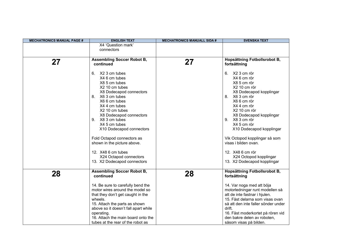| <b>MECHATRONICS MANUAL PAGE #</b> | <b>ENGLISH TEXT</b>                              | <b>MECHATRONICS MANUALL SIDA #</b> | <b>SVENSKA TEXT</b>                                   |
|-----------------------------------|--------------------------------------------------|------------------------------------|-------------------------------------------------------|
|                                   | X4 'Question mark'                               |                                    |                                                       |
|                                   | connectors                                       |                                    |                                                       |
|                                   | <b>Assembling Soccer Robot B,</b>                |                                    | Hopsättning Fotbollsrobot B,                          |
| 27                                | continued                                        | 27                                 | fortsättning                                          |
|                                   |                                                  |                                    |                                                       |
|                                   | 6.<br>X2 3 cm tubes                              |                                    | X2 3 cm rör<br>6.                                     |
|                                   | X4 6 cm tubes                                    |                                    | X4 6 cm rör                                           |
|                                   | X8 5 cm tubes                                    |                                    | X8 5 cm rör                                           |
|                                   | X2 10 cm tubes                                   |                                    | X2 10 cm rör                                          |
|                                   | X8 Dodecapod connectors                          |                                    | X8 Dodecapod kopplingar                               |
|                                   | 8. X6 3 cm tubes<br>X6 6 cm tubes                |                                    | 8. X6 3 cm rör<br>X66 cm rör                          |
|                                   | X4 4 cm tubes                                    |                                    | X4 4 cm rör                                           |
|                                   | X2 10 cm tubes                                   |                                    | X2 10 cm rör                                          |
|                                   | X8 Dodecapod connectors                          |                                    | X8 Dodecapod kopplingar                               |
|                                   | X8 3 cm tubes<br>9.                              |                                    | 9. X8 3 cm rör                                        |
|                                   | X4 5 cm tubes                                    |                                    | X4 5 cm rör                                           |
|                                   | X10 Dodecapod connectors                         |                                    | X10 Dodecapod kopplingar                              |
|                                   | Fold Octapod connectors as                       |                                    | Vik Octopod kopplingar så som                         |
|                                   | shown in the picture above.                      |                                    | visas i bilden ovan.                                  |
|                                   | 12. X48 6 cm tubes                               |                                    | 12. X48 6 cm rör                                      |
|                                   | X24 Octapod connectors                           |                                    | X24 Octopod kopplingar                                |
|                                   | 13. X2 Dodecapod connectors                      |                                    | 13. X2 Dodecapod kopplingar                           |
|                                   |                                                  |                                    |                                                       |
| 28                                | <b>Assembling Soccer Robot B,</b><br>continued   | 28                                 | Hopsättning Fotbollsrobot B,<br>fortsättning          |
|                                   | 14. Be sure to carefully bend the                |                                    | 14. Var noga med att böja                             |
|                                   | motor wires around the model so                  |                                    | motorledningar runt modellen så                       |
|                                   | that they don't get caught in the                |                                    | att de inte fastnar i hjulen.                         |
|                                   | wheels.                                          |                                    | 15. Fäst delarna som visas ovan                       |
|                                   | 15. Attach the parts as shown                    |                                    | så att den inte faller sönder under                   |
|                                   | above so it doesn't fall apart while             |                                    | drift.                                                |
|                                   | operating.<br>16. Attach the main board onto the |                                    | 16. Fäst moderkortet på rören vid                     |
|                                   | tubes at the rear of the robot as                |                                    | den bakre delen av roboten,<br>såsom visas på bilden. |
|                                   |                                                  |                                    |                                                       |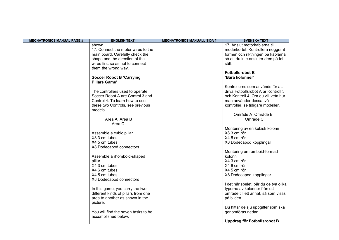| <b>MECHATRONICS MANUAL PAGE #</b> | <b>ENGLISH TEXT</b>                                     | <b>MECHATRONICS MANUALL SIDA #</b> | <b>SVENSKA TEXT</b>                   |
|-----------------------------------|---------------------------------------------------------|------------------------------------|---------------------------------------|
|                                   | shown.                                                  |                                    | 17. Anslut motorkablarna till         |
|                                   | 17. Connect the motor wires to the                      |                                    | moderkortet. Kontrollera noggrant     |
|                                   | main board. Carefully check the                         |                                    | formen och riktningen på kablarna     |
|                                   | shape and the direction of the                          |                                    | så att du inte ansluter dem på fel    |
|                                   | wires first so as not to connect                        |                                    | sätt.                                 |
|                                   | them the wrong way.                                     |                                    |                                       |
|                                   |                                                         |                                    | <b>Fotbollsrobot B</b>                |
|                                   | <b>Soccer Robot B 'Carrying</b><br><b>Pillars Game'</b> |                                    | 'Bära kolonner'                       |
|                                   |                                                         |                                    | Kontrollerns som används för att      |
|                                   | The controllers used to operate                         |                                    | driva Fotbollsrobot A är Kontroll 3   |
|                                   | Soccer Robot A are Control 3 and                        |                                    | och Kontroll 4. Om du vill veta hur   |
|                                   | Control 4. To learn how to use                          |                                    | man använder dessa två                |
|                                   | these two Controls, see previous<br>models.             |                                    | kontroller, se tidigare modeller.     |
|                                   |                                                         |                                    | Område A Område B                     |
|                                   | Area A Area B                                           |                                    | Område C                              |
|                                   | Area C                                                  |                                    |                                       |
|                                   |                                                         |                                    | Montering av en kubisk kolonn         |
|                                   | Assemble a cubic pillar                                 |                                    | X8 3 cm rör                           |
|                                   | X8 3 cm tubes                                           |                                    | X4 5 cm rör                           |
|                                   | X4 5 cm tubes                                           |                                    | X8 Dodecapod kopplingar               |
|                                   | X8 Dodecapod connectors                                 |                                    |                                       |
|                                   |                                                         |                                    | Montering en romboid-formad           |
|                                   | Assemble a rhomboid-shaped                              |                                    | kolonn                                |
|                                   | pillar                                                  |                                    | X4 3 cm rör                           |
|                                   | X4 3 cm tubes                                           |                                    | X4 6 cm rör                           |
|                                   | X4 6 cm tubes                                           |                                    | X4 5 cm rör                           |
|                                   | X4 5 cm tubes                                           |                                    | X8 Dodecapod kopplingar               |
|                                   | X8 Dodecapod connectors                                 |                                    |                                       |
|                                   |                                                         |                                    | I det här spelet, bär du de två olika |
|                                   | In this game, you carry the two                         |                                    | typerna av kolonner från ett          |
|                                   | different kinds of pillars from one                     |                                    | område till ett annat, så som visas   |
|                                   | area to another as shown in the                         |                                    | på bilden.                            |
|                                   | picture.                                                |                                    |                                       |
|                                   |                                                         |                                    | Du hittar de sju uppgifter som ska    |
|                                   | You will find the seven tasks to be                     |                                    | genomföras nedan.                     |
|                                   | accomplished below.                                     |                                    |                                       |
|                                   |                                                         |                                    | Uppdrag för Fotbollsrobot B           |
|                                   |                                                         |                                    |                                       |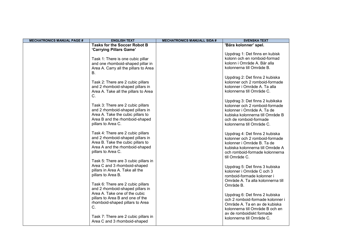| <b>Tasks for the Soccer Robot B</b><br>'Bära kolonner' spel.<br>'Carrying Pillars Game'<br>Uppdrag 1: Det finns en kubisk<br>kolonn och en romboid-formad<br>Task 1: There is one cubic pillar<br>kolonn i Område A. Bär alla<br>and one rhomboid-shaped pillar in<br>kolonnerna till Område B.<br>Area A. Carry all the pillars to Area<br>В.<br>Uppdrag 2: Det finns 2 kubiska<br>kolonner och 2 romboid-formade<br>Task 2: There are 2 cubic pillars<br>kolonner i Område A. Ta alla<br>and 2 rhomboid-shaped pillars in<br>Area A. Take all the pillars to Area<br>kolonnerna till Område C.<br>C.<br>Uppdrag 3: Det finns 2 kubikska<br>Task 3: There are 2 cubic pillars<br>kolonner och 2 romboid-formade<br>and 2 rhomboid-shaped pillars in<br>kolonner i Område A. Ta de<br>Area A. Take the cubic pillars to<br>kubiska kolonnerna till Område B<br>Area B and the rhomboid-shaped<br>och de romboid-formade<br>pillars to Area C.<br>kolonnerna till Område C.<br>Task 4: There are 2 cubic pillars<br>Uppdrag 4: Det finns 2 kubiska<br>and 2 rhomboid-shaped pillars in<br>kolonner och 2 romboid-formade<br>Area B. Take the cubic pillars to<br>kolonner i Område B. Ta de | <b>MECHATRONICS MANUAL PAGE #</b> | <b>ENGLISH TEXT</b>            | <b>MECHATRONICS MANUALL SIDA #</b> | <b>SVENSKA TEXT</b>              |
|--------------------------------------------------------------------------------------------------------------------------------------------------------------------------------------------------------------------------------------------------------------------------------------------------------------------------------------------------------------------------------------------------------------------------------------------------------------------------------------------------------------------------------------------------------------------------------------------------------------------------------------------------------------------------------------------------------------------------------------------------------------------------------------------------------------------------------------------------------------------------------------------------------------------------------------------------------------------------------------------------------------------------------------------------------------------------------------------------------------------------------------------------------------------------------------------|-----------------------------------|--------------------------------|------------------------------------|----------------------------------|
|                                                                                                                                                                                                                                                                                                                                                                                                                                                                                                                                                                                                                                                                                                                                                                                                                                                                                                                                                                                                                                                                                                                                                                                            |                                   |                                |                                    |                                  |
|                                                                                                                                                                                                                                                                                                                                                                                                                                                                                                                                                                                                                                                                                                                                                                                                                                                                                                                                                                                                                                                                                                                                                                                            |                                   |                                |                                    |                                  |
|                                                                                                                                                                                                                                                                                                                                                                                                                                                                                                                                                                                                                                                                                                                                                                                                                                                                                                                                                                                                                                                                                                                                                                                            |                                   |                                |                                    |                                  |
|                                                                                                                                                                                                                                                                                                                                                                                                                                                                                                                                                                                                                                                                                                                                                                                                                                                                                                                                                                                                                                                                                                                                                                                            |                                   |                                |                                    |                                  |
|                                                                                                                                                                                                                                                                                                                                                                                                                                                                                                                                                                                                                                                                                                                                                                                                                                                                                                                                                                                                                                                                                                                                                                                            |                                   |                                |                                    |                                  |
|                                                                                                                                                                                                                                                                                                                                                                                                                                                                                                                                                                                                                                                                                                                                                                                                                                                                                                                                                                                                                                                                                                                                                                                            |                                   |                                |                                    |                                  |
|                                                                                                                                                                                                                                                                                                                                                                                                                                                                                                                                                                                                                                                                                                                                                                                                                                                                                                                                                                                                                                                                                                                                                                                            |                                   |                                |                                    |                                  |
|                                                                                                                                                                                                                                                                                                                                                                                                                                                                                                                                                                                                                                                                                                                                                                                                                                                                                                                                                                                                                                                                                                                                                                                            |                                   |                                |                                    |                                  |
|                                                                                                                                                                                                                                                                                                                                                                                                                                                                                                                                                                                                                                                                                                                                                                                                                                                                                                                                                                                                                                                                                                                                                                                            |                                   |                                |                                    |                                  |
|                                                                                                                                                                                                                                                                                                                                                                                                                                                                                                                                                                                                                                                                                                                                                                                                                                                                                                                                                                                                                                                                                                                                                                                            |                                   |                                |                                    |                                  |
|                                                                                                                                                                                                                                                                                                                                                                                                                                                                                                                                                                                                                                                                                                                                                                                                                                                                                                                                                                                                                                                                                                                                                                                            |                                   |                                |                                    |                                  |
|                                                                                                                                                                                                                                                                                                                                                                                                                                                                                                                                                                                                                                                                                                                                                                                                                                                                                                                                                                                                                                                                                                                                                                                            |                                   |                                |                                    |                                  |
|                                                                                                                                                                                                                                                                                                                                                                                                                                                                                                                                                                                                                                                                                                                                                                                                                                                                                                                                                                                                                                                                                                                                                                                            |                                   |                                |                                    |                                  |
|                                                                                                                                                                                                                                                                                                                                                                                                                                                                                                                                                                                                                                                                                                                                                                                                                                                                                                                                                                                                                                                                                                                                                                                            |                                   |                                |                                    |                                  |
|                                                                                                                                                                                                                                                                                                                                                                                                                                                                                                                                                                                                                                                                                                                                                                                                                                                                                                                                                                                                                                                                                                                                                                                            |                                   |                                |                                    |                                  |
|                                                                                                                                                                                                                                                                                                                                                                                                                                                                                                                                                                                                                                                                                                                                                                                                                                                                                                                                                                                                                                                                                                                                                                                            |                                   |                                |                                    |                                  |
|                                                                                                                                                                                                                                                                                                                                                                                                                                                                                                                                                                                                                                                                                                                                                                                                                                                                                                                                                                                                                                                                                                                                                                                            |                                   |                                |                                    |                                  |
|                                                                                                                                                                                                                                                                                                                                                                                                                                                                                                                                                                                                                                                                                                                                                                                                                                                                                                                                                                                                                                                                                                                                                                                            |                                   |                                |                                    |                                  |
|                                                                                                                                                                                                                                                                                                                                                                                                                                                                                                                                                                                                                                                                                                                                                                                                                                                                                                                                                                                                                                                                                                                                                                                            |                                   |                                |                                    |                                  |
|                                                                                                                                                                                                                                                                                                                                                                                                                                                                                                                                                                                                                                                                                                                                                                                                                                                                                                                                                                                                                                                                                                                                                                                            |                                   |                                |                                    |                                  |
|                                                                                                                                                                                                                                                                                                                                                                                                                                                                                                                                                                                                                                                                                                                                                                                                                                                                                                                                                                                                                                                                                                                                                                                            |                                   |                                |                                    |                                  |
|                                                                                                                                                                                                                                                                                                                                                                                                                                                                                                                                                                                                                                                                                                                                                                                                                                                                                                                                                                                                                                                                                                                                                                                            |                                   |                                |                                    |                                  |
|                                                                                                                                                                                                                                                                                                                                                                                                                                                                                                                                                                                                                                                                                                                                                                                                                                                                                                                                                                                                                                                                                                                                                                                            |                                   | Area A and the rhomboid-shaped |                                    | kubiska kolonnerna till Område A |
| pillars to Area C.<br>och romboid-formade kolonnerna                                                                                                                                                                                                                                                                                                                                                                                                                                                                                                                                                                                                                                                                                                                                                                                                                                                                                                                                                                                                                                                                                                                                       |                                   |                                |                                    |                                  |
| till Område C.                                                                                                                                                                                                                                                                                                                                                                                                                                                                                                                                                                                                                                                                                                                                                                                                                                                                                                                                                                                                                                                                                                                                                                             |                                   |                                |                                    |                                  |
| Task 5: There are 3 cubic pillars in                                                                                                                                                                                                                                                                                                                                                                                                                                                                                                                                                                                                                                                                                                                                                                                                                                                                                                                                                                                                                                                                                                                                                       |                                   |                                |                                    |                                  |
| Area C and 3 rhomboid-shaped<br>Uppdrag 5: Det finns 3 kubiska                                                                                                                                                                                                                                                                                                                                                                                                                                                                                                                                                                                                                                                                                                                                                                                                                                                                                                                                                                                                                                                                                                                             |                                   |                                |                                    |                                  |
| pillars in Area A. Take all the<br>kolonner i Område C och 3                                                                                                                                                                                                                                                                                                                                                                                                                                                                                                                                                                                                                                                                                                                                                                                                                                                                                                                                                                                                                                                                                                                               |                                   |                                |                                    |                                  |
| pillars to Area B.<br>romboid-formade kolonner i                                                                                                                                                                                                                                                                                                                                                                                                                                                                                                                                                                                                                                                                                                                                                                                                                                                                                                                                                                                                                                                                                                                                           |                                   |                                |                                    |                                  |
| Område A. Ta alla kolonnerna till                                                                                                                                                                                                                                                                                                                                                                                                                                                                                                                                                                                                                                                                                                                                                                                                                                                                                                                                                                                                                                                                                                                                                          |                                   |                                |                                    |                                  |
| Task 6: There are 2 cubic pillars<br>Område B.                                                                                                                                                                                                                                                                                                                                                                                                                                                                                                                                                                                                                                                                                                                                                                                                                                                                                                                                                                                                                                                                                                                                             |                                   |                                |                                    |                                  |
| and 2 rhomboid-shaped pillars in                                                                                                                                                                                                                                                                                                                                                                                                                                                                                                                                                                                                                                                                                                                                                                                                                                                                                                                                                                                                                                                                                                                                                           |                                   |                                |                                    |                                  |
| Area A. Take one of the cubic<br>Uppdrag 6: Det finns 2 kubiska                                                                                                                                                                                                                                                                                                                                                                                                                                                                                                                                                                                                                                                                                                                                                                                                                                                                                                                                                                                                                                                                                                                            |                                   |                                |                                    |                                  |
| pillars to Area B and one of the<br>och 2 romboid-formade kolonner i                                                                                                                                                                                                                                                                                                                                                                                                                                                                                                                                                                                                                                                                                                                                                                                                                                                                                                                                                                                                                                                                                                                       |                                   |                                |                                    |                                  |
| rhomboid-shaped pillars to Area<br>Område A. Ta en av de kubiska                                                                                                                                                                                                                                                                                                                                                                                                                                                                                                                                                                                                                                                                                                                                                                                                                                                                                                                                                                                                                                                                                                                           |                                   |                                |                                    |                                  |
| C.<br>kolonnerna till Område B och en                                                                                                                                                                                                                                                                                                                                                                                                                                                                                                                                                                                                                                                                                                                                                                                                                                                                                                                                                                                                                                                                                                                                                      |                                   |                                |                                    |                                  |
| av de romboidiskt formade                                                                                                                                                                                                                                                                                                                                                                                                                                                                                                                                                                                                                                                                                                                                                                                                                                                                                                                                                                                                                                                                                                                                                                  |                                   |                                |                                    |                                  |
| Task 7: There are 2 cubic pillars in<br>kolonnerna till Område C.                                                                                                                                                                                                                                                                                                                                                                                                                                                                                                                                                                                                                                                                                                                                                                                                                                                                                                                                                                                                                                                                                                                          |                                   |                                |                                    |                                  |
| Area C and 3 rhomboid-shaped                                                                                                                                                                                                                                                                                                                                                                                                                                                                                                                                                                                                                                                                                                                                                                                                                                                                                                                                                                                                                                                                                                                                                               |                                   |                                |                                    |                                  |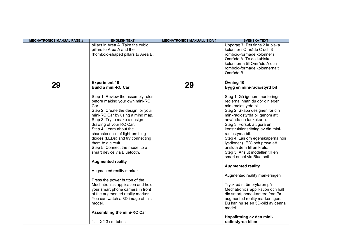| <b>MECHATRONICS MANUAL PAGE #</b> | <b>ENGLISH TEXT</b>                                                                                                                                                                                                                                                                                                                                                                                                                                                                                                                                                                                                                                                                                                                                 | <b>MECHATRONICS MANUALL SIDA #</b> | <b>SVENSKA TEXT</b>                                                                                                                                                                                                                                                                                                                                                                                                                                                                                                                                                                                                                                                                                                                                                      |
|-----------------------------------|-----------------------------------------------------------------------------------------------------------------------------------------------------------------------------------------------------------------------------------------------------------------------------------------------------------------------------------------------------------------------------------------------------------------------------------------------------------------------------------------------------------------------------------------------------------------------------------------------------------------------------------------------------------------------------------------------------------------------------------------------------|------------------------------------|--------------------------------------------------------------------------------------------------------------------------------------------------------------------------------------------------------------------------------------------------------------------------------------------------------------------------------------------------------------------------------------------------------------------------------------------------------------------------------------------------------------------------------------------------------------------------------------------------------------------------------------------------------------------------------------------------------------------------------------------------------------------------|
|                                   | pillars in Area A. Take the cubic<br>pillars to Area A and the<br>rhomboid-shaped pillars to Area B.                                                                                                                                                                                                                                                                                                                                                                                                                                                                                                                                                                                                                                                |                                    | Uppdrag 7: Det finns 2 kubiska<br>kolonner i Område C och 3<br>romboid-formade kolonner i<br>Område A. Ta de kubiska<br>kolonnerna till Område A och<br>romboid-formade kolonnerna till<br>Område B.                                                                                                                                                                                                                                                                                                                                                                                                                                                                                                                                                                     |
| 29                                | <b>Experiment 10</b><br><b>Build a mini-RC Car</b><br>Step 1. Review the assembly rules<br>before making your own mini-RC<br>Car.<br>Step 2. Create the design for your<br>mini-RC Car by using a mind map.<br>Step 3. Try to make a design<br>drawing of your RC Car.<br>Step 4. Learn about the<br>characteristics of light-emitting<br>diodes (LEDs) and try connecting<br>them to a circuit.<br>Step 5. Connect the model to a<br>smart device via Bluetooth.<br><b>Augmented reality</b><br>Augmented reality marker<br>Press the power button of the<br>Mechatronics application and hold<br>your smart phone camera in front<br>of the augmented reality marker.<br>You can watch a 3D image of this<br>model.<br>Assembling the mini-RC Car | 29                                 | Övning 10<br>Bygg en mini-radiostyrd bil<br>Steg 1. Gå igenom monterings<br>reglerna innan du gör din egen<br>mini-radiostyrda bil.<br>Steg 2. Skapa designen för din<br>mini-radiostyrda bil genom att<br>använda en tankekarta.<br>Steg 3. Försök att göra en<br>konstruktionsritning av din mini-<br>radiostyrda bil.<br>Steg 4. Läs om egenskaperna hos<br>lysdioder (LED) och prova att<br>ansluta dem till en krets.<br>Steg 5. Anslut modellen till en<br>smart enhet via Bluetooth.<br><b>Augmented reality</b><br>Augmented reality markeringen<br>Tryck på strömbrytaren på<br>Mechatronics applikation och håll<br>din smartphone-kamera framför<br>augmented reality markeringen.<br>Du kan nu se en 3D-bild av denna<br>modell.<br>Hopsättning av den mini- |
|                                   | 1. X2 3 cm tubes                                                                                                                                                                                                                                                                                                                                                                                                                                                                                                                                                                                                                                                                                                                                    |                                    | radiostyrda bilen                                                                                                                                                                                                                                                                                                                                                                                                                                                                                                                                                                                                                                                                                                                                                        |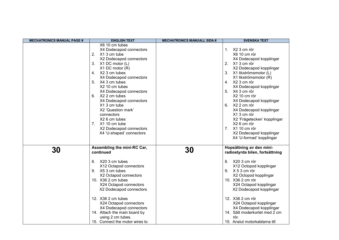| <b>MECHATRONICS MANUAL PAGE #</b> | <b>ENGLISH TEXT</b>                                                                                                                                                                                                                                                                                                                                                                                                                                      | <b>MECHATRONICS MANUALL SIDA #</b> | <b>SVENSKA TEXT</b>                                                                                                                                                                                                                                                                                                                                                                                                                                          |
|-----------------------------------|----------------------------------------------------------------------------------------------------------------------------------------------------------------------------------------------------------------------------------------------------------------------------------------------------------------------------------------------------------------------------------------------------------------------------------------------------------|------------------------------------|--------------------------------------------------------------------------------------------------------------------------------------------------------------------------------------------------------------------------------------------------------------------------------------------------------------------------------------------------------------------------------------------------------------------------------------------------------------|
|                                   | X6 10 cm tubes<br>X4 Dodecapod connectors<br>2. X1 3 cm tube<br>X2 Dodecapod connectors<br>X1 DC motor (L)<br>3.<br>X1 DC motor (R)<br>4. X2 3 cm tubes<br>X4 Dodecapod connectors<br>X4 3 cm tubes<br>5.<br>X2 10 cm tubes<br>X4 Dodecapod connectors<br>X2 2 cm tubes<br>6.<br>X4 Dodecapod connectors<br>X1 3 cm tube<br>X2 'Question mark'<br>connectors<br>X2 6 cm tubes<br>7. X1 10 cm tube<br>X2 Dodecapod connectors<br>X4 'U-shaped' connectors |                                    | X2 3 cm rör<br>1.<br>X6 10 cm rör<br>X4 Dodecapod kopplingar<br>2. X1 3 cm rör<br>X2 Dodecapod kopplingar<br>3. X1 likströmsmotor (L)<br>X1 likströmsmotor (R)<br>4. X2 3 cm rör<br>X4 Dodecapod kopplingar<br>5. X4 3 cm rör<br>X2 10 cm rör<br>X4 Dodecapod kopplingar<br>6. X2 2 cm rör<br>X4 Dodecapod kopplingar<br>X1 3 cm rör<br>X2 'Frågetecken' kopplingar<br>X2 6 cm rör<br>7. X1 10 cm rör<br>X2 Dodecapod kopplingar<br>X4 'U-formad' kopplingar |
| <b>30</b>                         | Assembling the mini-RC Car,<br>continued<br>X20 3 cm tubes<br>8.<br>X12 Octapod connectors<br>X5 3 cm tubes<br>9.<br>X2 Octapod connectors<br>10. X36 2 cm tubes<br>X24 Octapod connectors<br>X2 Dodecapod connectors<br>12. X36 2 cm tubes<br>X24 Octapod connectors<br>X4 Dodecapod connectors<br>14. Attach the main board by<br>using 2 cm tubes.<br>15. Connect the motor wires to                                                                  | 30                                 | Hopsättning av den mini-<br>radiostyrda bilen, fortsättning<br>X20 3 cm rör<br>8.<br>X12 Octopod kopplingar<br>9. X 5 3 cm rör<br>X2 Octopod kopplingar<br>10. X36 2 cm rör<br>X24 Octapod kopplingar<br>X2 Dodecapod kopplingar<br>12. X36 2 cm rör<br>X24 Octapod kopplingar<br>X4 Dodecapod kopplingar<br>14. Sätt moderkortet med 2 cm<br>rör.<br>15. Anslut motorkablarna till                                                                          |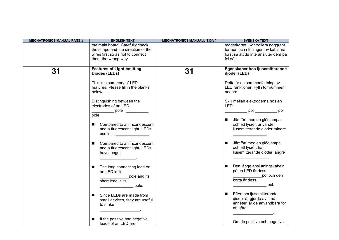| <b>MECHATRONICS MANUAL PAGE #</b> | <b>ENGLISH TEXT</b>                                                                             | <b>MECHATRONICS MANUALL SIDA #</b> | <b>SVENSKA TEXT</b>                                                                                     |
|-----------------------------------|-------------------------------------------------------------------------------------------------|------------------------------------|---------------------------------------------------------------------------------------------------------|
|                                   | the main board. Carefully check                                                                 |                                    | moderkortet. Kontrollera noggrant                                                                       |
|                                   | the shape and the direction of the                                                              |                                    | formen och riktningen av kablarna                                                                       |
|                                   | wires first so as not to connect                                                                |                                    | först så att du inte ansluter dem på                                                                    |
|                                   | them the wrong way.                                                                             |                                    | fel sätt.                                                                                               |
|                                   |                                                                                                 |                                    |                                                                                                         |
| 31                                | <b>Features of Light-emitting</b><br>Diodes (LEDs)                                              | 31                                 | Egenskaper hos ljusemitterande<br>dioder (LED)                                                          |
|                                   | This is a summary of LED<br>features. Please fill in the blanks<br>below:                       |                                    | Detta är en sammanfattning av<br>LED funktioner. Fyll i tomrummen<br>nedan:                             |
|                                   | Distinguishing between the<br>electrodes of an LED<br>pole                                      |                                    | Skilj mellan elektroderna hos en<br><b>LED</b><br>$pol$ pol pol                                         |
|                                   | pole                                                                                            |                                    |                                                                                                         |
|                                   | Compared to an incandescent<br>and a fluorescent light, LEDs<br>use less ______________________ |                                    | Jämfört med en glödlampa<br>$\blacksquare$<br>och ett lysrör, använder<br>ljusemitterande dioder mindre |
|                                   | Compared to an incandescent<br>$\blacksquare$<br>and a fluorescent light, LEDs<br>have longer   |                                    | Jämfört med en glödlampa<br>п<br>och ett lysrör, har<br>ljusemitterande dioder längre                   |
|                                   | The long connecting lead on<br>an LED is its<br>pole and its<br>short lead is its<br>pole.      |                                    | Den långa anslutningskabeln<br>п<br>på en LED är dess<br>pol och den<br>korta är dess<br>pol.           |
|                                   | Since LEDs are made from<br>п<br>small devices, they are useful<br>to make                      |                                    | Eftersom ljusemitterande<br>п<br>dioder är gjorda av små<br>enheter, är de användbara för<br>att göra   |
|                                   | If the positive and negative<br>leads of an LED are                                             |                                    | Om de positiva och negativa                                                                             |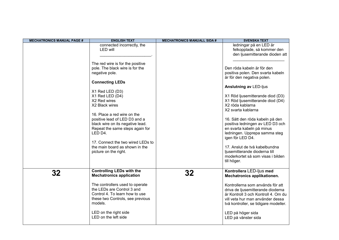| <b>MECHATRONICS MANUAL PAGE #</b> | <b>ENGLISH TEXT</b>                                                                                                                                                                 | <b>MECHATRONICS MANUALL SIDA #</b> | <b>SVENSKA TEXT</b>                                                                                                                                                                       |
|-----------------------------------|-------------------------------------------------------------------------------------------------------------------------------------------------------------------------------------|------------------------------------|-------------------------------------------------------------------------------------------------------------------------------------------------------------------------------------------|
|                                   | connected incorrectly, the<br>LED will<br>The red wire is for the positive                                                                                                          |                                    | ledningar på en LED är<br>felkopplade, så kommer den<br>den ljusemitterande dioden att                                                                                                    |
|                                   | pole. The black wire is for the<br>negative pole.                                                                                                                                   |                                    | Den röda kabeln är för den<br>positiva polen. Den svarta kabeln<br>är för den negativa polen.                                                                                             |
|                                   | <b>Connecting LEDs</b>                                                                                                                                                              |                                    | <b>Anslutning av LED-ljus</b>                                                                                                                                                             |
|                                   | X1 Red LED (D3)<br>X1 Red LED (D4)<br>X2 Red wires<br>X2 Black wires                                                                                                                |                                    | X1 Röd ljusemitterande diod (D3)<br>X1 Röd ljusemitterande diod (D4)<br>X2 röda kablarna<br>X2 svarta kablarna                                                                            |
|                                   | 16. Place a red wire on the<br>positive lead of LED D3 and a<br>black wire on its negative lead.<br>Repeat the same steps again for<br>LED D4.<br>17. Connect the two wired LEDs to |                                    | 16. Sätt den röda kabeln på den<br>positiva ledningen av LED D3 och<br>en svarta kabeln på minus<br>ledningen. Upprepa samma steg<br>igen för LED D4.                                     |
|                                   | the main board as shown in the<br>picture on the right.                                                                                                                             |                                    | 17. Anslut de två kabelbundna<br>ljusemitterande dioderna till<br>moderkortet så som visas i bilden<br>till höger.                                                                        |
| 32                                | <b>Controlling LEDs with the</b><br><b>Mechatronics application</b>                                                                                                                 | 32                                 | Kontrollera LED-ljus med<br>Mechatronics applikationen.                                                                                                                                   |
|                                   | The controllers used to operate<br>the LEDs are Control 3 and<br>Control 4. To learn how to use<br>these two Controls, see previous<br>models.                                      |                                    | Kontrollerna som används för att<br>driva de ljusemitterande dioderna<br>är Kontroll 3 och Kontroll 4. Om du<br>vill veta hur man använder dessa<br>två kontroller, se tidigare modeller. |
|                                   | LED on the right side<br>LED on the left side                                                                                                                                       |                                    | LED på höger sida<br>LED på vänster sida                                                                                                                                                  |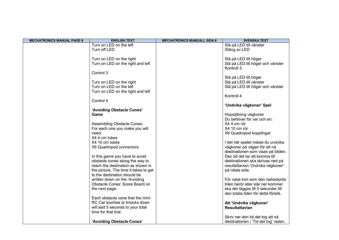| <b>MECHATRONICS MANUAL PAGE #</b> | <b>ENGLISH TEXT</b>                   | <b>MECHATRONICS MANUALL SIDA #</b> | <b>SVENSKA TEXT</b>                  |
|-----------------------------------|---------------------------------------|------------------------------------|--------------------------------------|
|                                   | Turn on LED on the left               |                                    | Slå på LED till vänster              |
|                                   | Turn off LED                          |                                    | Stäng av LED                         |
|                                   |                                       |                                    |                                      |
|                                   | Turn on LED on the right              |                                    | Slå på LED till höger                |
|                                   | Turn on LED on the right and left     |                                    | Slå på LED till höger och vänster    |
|                                   |                                       |                                    | Kontroll 3                           |
|                                   | Control 3                             |                                    |                                      |
|                                   |                                       |                                    | Slå på LED till höger                |
|                                   | Turn on LED on the right              |                                    | Slå på LED till vänster              |
|                                   | Turn on LED on the left               |                                    | Slå på LED till höger och vänster    |
|                                   | Turn on LED on the right and left     |                                    |                                      |
|                                   |                                       |                                    | Kontroll 4                           |
|                                   | Control 4                             |                                    |                                      |
|                                   |                                       |                                    | 'Undvika vägkoner' Spel              |
|                                   | 'Avoiding Obstacle Cones'             |                                    |                                      |
|                                   | Game                                  |                                    | Hopsättning vägkoner                 |
|                                   |                                       |                                    | Du behöver för var och en:           |
|                                   | <b>Assembling Obstacle Cones</b>      |                                    | X4 4 cm rör                          |
|                                   | For each one you make you will        |                                    | X4 10 cm rör                         |
|                                   | need:                                 |                                    | X6 Quadropod kopplingar              |
|                                   | X4 4 cm tubes                         |                                    |                                      |
|                                   | X4 10 cm tubes                        |                                    | I det här spelet måste du undvika    |
|                                   | X6 Quadropod connectors               |                                    | vägkoner på vägen för att nå         |
|                                   |                                       |                                    | destinationen som visas på bilden.   |
|                                   | In this game you have to avoid        |                                    | Den tid det tar att komma till       |
|                                   | obstacle cones along the way to       |                                    | destinationen ska skrivas ned på     |
|                                   | reach the destination as shown in     |                                    | resultattavlan 'Undvika vägkoner'    |
|                                   | the picture. The time it takes to get |                                    | på nästa sida.                       |
|                                   | to the destination should be          |                                    |                                      |
|                                   | written down on the 'Avoiding         |                                    | För varje kon som den radiostyrda    |
|                                   | Obstacle Cones' Score Board on        |                                    | bilen berör eller slår ner kommer    |
|                                   | the next page.                        |                                    | ska det läggas till 5 sekunder till  |
|                                   |                                       |                                    | den totala tiden för detta försök.   |
|                                   | Each obstacle cone that the mini-     |                                    |                                      |
|                                   | RC Car touches or knocks down         |                                    | Att 'Undvika vägkoner'               |
|                                   | will add 5 seconds to your total      |                                    | <b>Resultattavian</b>                |
|                                   | time for that trial.                  |                                    |                                      |
|                                   |                                       |                                    | Skriv ner den tid det tog att nå     |
|                                   | 'Avoiding Obstacle Cones'             |                                    | destinationen i 'Tid det tog' raden. |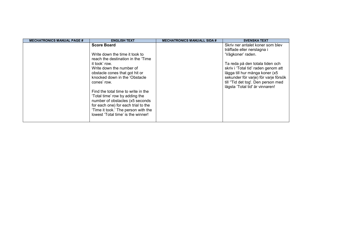| <b>MECHATRONICS MANUAL PAGE #</b> | <b>ENGLISH TEXT</b>                                                                                                                                                                                                                                                                                                                                                                                                                                       | <b>MECHATRONICS MANUALL SIDA #</b> | <b>SVENSKA TEXT</b>                                                                                                                                                                                                                                                                                              |
|-----------------------------------|-----------------------------------------------------------------------------------------------------------------------------------------------------------------------------------------------------------------------------------------------------------------------------------------------------------------------------------------------------------------------------------------------------------------------------------------------------------|------------------------------------|------------------------------------------------------------------------------------------------------------------------------------------------------------------------------------------------------------------------------------------------------------------------------------------------------------------|
|                                   | <b>Score Board</b><br>Write down the time it took to<br>reach the destination in the 'Time<br>it took' row.<br>Write down the number of<br>obstacle cones that got hit or<br>knocked down in the 'Obstacle<br>cones' row.<br>Find the total time to write in the<br>'Total time' row by adding the<br>number of obstacles (x5 seconds<br>for each one) for each trial to the<br>'Time it took.' The person with the<br>lowest 'Total time' is the winner! |                                    | Skriv ner antalet koner som blev<br>träffade eller nerslagna i<br>'Vägkoner' raden.<br>Ta reda på den totala tiden och<br>skriv i 'Total tid' raden genom att<br>lägga till hur många koner (x5<br>sekunder för varje) för varje försök<br>till "Tid det tog'. Den person med<br>lägsta 'Total tid' är vinnaren! |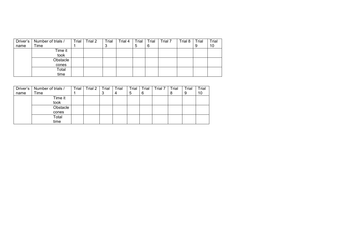| Driver's | Number of trials / | Trial | Trial 2 | Trial | Trial 4 | Trial | Trial | Trial 7 | Trial 8 | Trial | Trial |
|----------|--------------------|-------|---------|-------|---------|-------|-------|---------|---------|-------|-------|
| name     | Time               |       |         | 3     |         | Ⴆ     | 6     |         |         | 9     | 10    |
|          | Time it            |       |         |       |         |       |       |         |         |       |       |
|          | took               |       |         |       |         |       |       |         |         |       |       |
|          | Obstacle           |       |         |       |         |       |       |         |         |       |       |
|          | cones              |       |         |       |         |       |       |         |         |       |       |
|          | Total              |       |         |       |         |       |       |         |         |       |       |
|          | time               |       |         |       |         |       |       |         |         |       |       |

| Driver's | Number of trials / | Trial | Trial 2 | Trial | Trial | Trial | Trial | Trial 7 | Trial | Trial | Trial |
|----------|--------------------|-------|---------|-------|-------|-------|-------|---------|-------|-------|-------|
| name     | Time               |       |         | ັ     | 4     | 5     | 6     |         | 8     | 9     | 10    |
|          | Time it            |       |         |       |       |       |       |         |       |       |       |
|          | took               |       |         |       |       |       |       |         |       |       |       |
|          | Obstacle           |       |         |       |       |       |       |         |       |       |       |
|          | cones              |       |         |       |       |       |       |         |       |       |       |
|          | Total              |       |         |       |       |       |       |         |       |       |       |
|          | time               |       |         |       |       |       |       |         |       |       |       |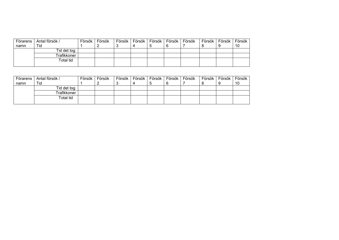| Förarens | Antal försök / | Försök | Försök | Försök | Försök l | Försök | Försök | Försök | Försök i | Försök l | Försök |
|----------|----------------|--------|--------|--------|----------|--------|--------|--------|----------|----------|--------|
| namn     | Tid            |        |        |        |          |        |        |        |          |          | 10     |
|          | Tid det tog    |        |        |        |          |        |        |        |          |          |        |
|          | Trafikkoner    |        |        |        |          |        |        |        |          |          |        |
|          | Total tid      |        |        |        |          |        |        |        |          |          |        |
|          |                |        |        |        |          |        |        |        |          |          |        |

| Förarens | Antal försök / | Försök | Försök | Försök | Försök | Försök | Försök | Försök | Försök | Försök | Försök |
|----------|----------------|--------|--------|--------|--------|--------|--------|--------|--------|--------|--------|
| namn     | Tid            |        |        |        |        |        |        |        |        |        | 10     |
|          | Tid det tog    |        |        |        |        |        |        |        |        |        |        |
|          | Trafikkoner    |        |        |        |        |        |        |        |        |        |        |
|          | Total tid      |        |        |        |        |        |        |        |        |        |        |
|          |                |        |        |        |        |        |        |        |        |        |        |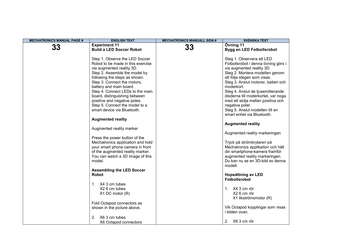| <b>MECHATRONICS MANUAL PAGE #</b> | <b>ENGLISH TEXT</b>                                                                                                                                                                                                                                                                                                                                                 | <b>MECHATRONICS MANUALL SIDA #</b> | <b>SVENSKA TEXT</b>                                                                                                                                                                                                                                                                                                                                      |
|-----------------------------------|---------------------------------------------------------------------------------------------------------------------------------------------------------------------------------------------------------------------------------------------------------------------------------------------------------------------------------------------------------------------|------------------------------------|----------------------------------------------------------------------------------------------------------------------------------------------------------------------------------------------------------------------------------------------------------------------------------------------------------------------------------------------------------|
|                                   | <b>Experiment 11</b>                                                                                                                                                                                                                                                                                                                                                |                                    | Övning 11                                                                                                                                                                                                                                                                                                                                                |
| 33                                | <b>Build a LED Soccer Robot</b>                                                                                                                                                                                                                                                                                                                                     | 33                                 | Bygg en LED Fotbollsrobot                                                                                                                                                                                                                                                                                                                                |
|                                   | Step 1. Observe the LED Soccer<br>Robot to be made in this exercise<br>via augmented reality 3D.<br>Step 2. Assemble the model by<br>following the steps as shown.<br>Step 3. Connect the motors,<br>battery and main board.<br>Step 4. Connect LEDs to the main<br>board, distinguishing between<br>positive and negative poles.<br>Step 5. Connect the model to a |                                    | Steg 1. Observera att LED<br>Fotbollsrobot i denna övning görs i<br>via augmented reality 3D.<br>Steg 2. Montera modellen genom<br>att följa stegen som visas.<br>Steg 3. Anslut motorer, batteri och<br>moderkort.<br>Steg 4. Anslut de ljusemitterande<br>dioderna till moderkortet, var noga<br>med att skilja mellan positiva och<br>negativa poler. |
|                                   | smart device via Bluetooth.                                                                                                                                                                                                                                                                                                                                         |                                    | Steg 5. Anslut modellen till en                                                                                                                                                                                                                                                                                                                          |
|                                   |                                                                                                                                                                                                                                                                                                                                                                     |                                    | smart enhet via Bluetooth.                                                                                                                                                                                                                                                                                                                               |
|                                   | <b>Augmented reality</b>                                                                                                                                                                                                                                                                                                                                            |                                    |                                                                                                                                                                                                                                                                                                                                                          |
|                                   |                                                                                                                                                                                                                                                                                                                                                                     |                                    | <b>Augmented reality</b>                                                                                                                                                                                                                                                                                                                                 |
|                                   | Augmented reality marker                                                                                                                                                                                                                                                                                                                                            |                                    | Augmented reality markeringen                                                                                                                                                                                                                                                                                                                            |
|                                   | Press the power button of the<br>Mechatronics application and hold<br>your smart phone camera in front<br>of the augmented reality marker.<br>You can watch a 3D image of this<br>model.                                                                                                                                                                            |                                    | Tryck på strömbrytaren på<br>Mechatronics applikation och håll<br>din smartphone-kamera framför<br>augmented reality markeringen.<br>Du kan nu se en 3D-bild av denna<br>modell.                                                                                                                                                                         |
|                                   | <b>Assembling the LED Soccer</b>                                                                                                                                                                                                                                                                                                                                    |                                    |                                                                                                                                                                                                                                                                                                                                                          |
|                                   | <b>Robot</b>                                                                                                                                                                                                                                                                                                                                                        |                                    | Hopsättning av LED<br><b>Fotbollsrobot</b>                                                                                                                                                                                                                                                                                                               |
|                                   | 1. X4 3 cm tubes<br>X2 6 cm tubes<br>X1 DC motor (R)                                                                                                                                                                                                                                                                                                                |                                    | 1. X4 3 cm rör<br>X26 cm rör<br>X1 likströmsmotor (R)                                                                                                                                                                                                                                                                                                    |
|                                   | Fold Octapod connectors as<br>shown in the picture above.                                                                                                                                                                                                                                                                                                           |                                    | Vik Octapod kopplingar som visas<br>i bilden ovan.                                                                                                                                                                                                                                                                                                       |
|                                   | 2.<br>X6 3 cm tubes<br>X6 Octapod connectors                                                                                                                                                                                                                                                                                                                        |                                    | 2. X6 3 cm rör                                                                                                                                                                                                                                                                                                                                           |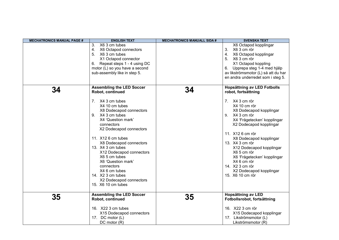| <b>MECHATRONICS MANUAL PAGE #</b> | <b>ENGLISH TEXT</b>              | <b>MECHATRONICS MANUALL SIDA #</b> | <b>SVENSKA TEXT</b>                 |
|-----------------------------------|----------------------------------|------------------------------------|-------------------------------------|
|                                   | X6 3 cm tubes<br>3.              |                                    | X6 Octapod kopplingar               |
|                                   | 4.<br>X6 Octapod connectors      |                                    | X6 3 cm rör<br>3.                   |
|                                   | 5. X6 3 cm tubes                 |                                    | X6 Octapod kopplingar<br>4.         |
|                                   | X1 Octapod connector             |                                    | 5. X6 3 cm rör                      |
|                                   | 6. Repeat steps 1 - 4 using DC   |                                    | X1 Octapod koppling                 |
|                                   | motor (L) so you have a second   |                                    | Upprepa steg 1-4 med hjälp<br>6.    |
|                                   | sub-assembly like in step 5.     |                                    | av likströmsmotor (L) så att du har |
|                                   |                                  |                                    | en andra underredet som i steg 5.   |
|                                   |                                  |                                    |                                     |
|                                   | <b>Assembling the LED Soccer</b> |                                    | <b>Hopsättning av LED Fotbolls</b>  |
| 34                                | Robot, continued                 | 34                                 | robot, fortsättning                 |
|                                   |                                  |                                    |                                     |
|                                   | 7. X4 3 cm tubes                 |                                    | 7. X4 3 cm rör                      |
|                                   | X4 10 cm tubes                   |                                    | X4 10 cm rör                        |
|                                   | X8 Dodecapod connectors          |                                    | X8 Dodecapod kopplingar             |
|                                   | 9. X4 3 cm tubes                 |                                    | 9. X4 3 cm rör                      |
|                                   | X4 'Question mark'               |                                    | X4 'Frågetecken' kopplingar         |
|                                   | connectors                       |                                    | X2 Dodecapod kopplingar             |
|                                   | X2 Dodecapod connectors          |                                    |                                     |
|                                   |                                  |                                    | 11. X12 6 cm rör                    |
|                                   | 11. X12 6 cm tubes               |                                    | X8 Dodecapod kopplingar             |
|                                   | X8 Dodecapod connectors          |                                    | 13. X4 3 cm rör                     |
|                                   | 13. X4 3 cm tubes                |                                    | X12 Dodecapod kopplingar            |
|                                   | X12 Dodecapod connectors         |                                    | X65 cm rör                          |
|                                   | X6 5 cm tubes                    |                                    | X6 'Frågetecken' kopplingar         |
|                                   | X6 'Question mark'               |                                    | X4 6 cm rör                         |
|                                   | connectors                       |                                    | 14. X2 3 cm rör                     |
|                                   | X4 6 cm tubes                    |                                    | X2 Dodecapod kopplingar             |
|                                   | 14. X2 3 cm tubes                |                                    | 15. X6 10 cm rör                    |
|                                   | X2 Dodecapod connectors          |                                    |                                     |
|                                   | 15. X6 10 cm tubes               |                                    |                                     |
|                                   |                                  |                                    |                                     |
|                                   | <b>Assembling the LED Soccer</b> |                                    | Hopsättning av LED                  |
| 35                                | Robot, continued                 | 35                                 | Fotbollsrobot, fortsättning         |
|                                   |                                  |                                    |                                     |
|                                   | 16. X22 3 cm tubes               |                                    | 16. X22 3 cm rör                    |
|                                   | X15 Dodecapod connectors         |                                    | X15 Dodecapod kopplingar            |
|                                   | 17. DC motor (L)                 |                                    | 17. Likströmsmotor (L)              |
|                                   | DC motor (R)                     |                                    | Likströmsmotor (R)                  |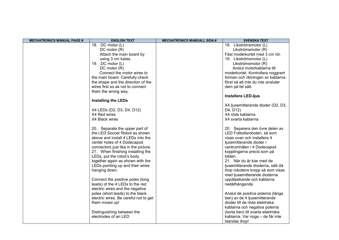| <b>MECHATRONICS MANUAL PAGE #</b> | <b>ENGLISH TEXT</b>                   | <b>MECHATRONICS MANUALL SIDA #</b> | <b>SVENSKA TEXT</b>                |
|-----------------------------------|---------------------------------------|------------------------------------|------------------------------------|
|                                   | 18. DC motor (L)                      |                                    | 18. Likströmsmotor (L)             |
|                                   | DC motor (R)                          |                                    | Likströmsmotor (R)                 |
|                                   | Attach the main board by              |                                    | Fäst moderkortet med 3 cm rör.     |
|                                   | using 3 cm tubes.                     |                                    | 19. Likströmsmotor (L)             |
|                                   | 19. DC motor (L)                      |                                    | Likströmsmotor (R)                 |
|                                   | DC motor (R)                          |                                    | Anslut motorkablarna till          |
|                                   | Connect the motor wires to            |                                    | moderkortet. Kontrollera noggrant  |
|                                   | the main board. Carefully check       |                                    | formen och riktningen av kablarna  |
|                                   | the shape and the direction of the    |                                    | först så att inte du inte ansluter |
|                                   | wires first so as not to connect      |                                    | dem på fel sätt.                   |
|                                   | them the wrong way.                   |                                    |                                    |
|                                   |                                       |                                    | <b>Installera LED-ljus</b>         |
|                                   | <b>Installing the LEDs</b>            |                                    |                                    |
|                                   |                                       |                                    | X4 ljusemitterande dioder (D2, D3, |
|                                   | X4 LEDs (D2, D3, D4, D12)             |                                    | D4, D12)                           |
|                                   | X4 Red wires                          |                                    | X4 röda kablarna                   |
|                                   | X4 Black wires                        |                                    | X4 svarta kablarna                 |
|                                   |                                       |                                    |                                    |
|                                   | 20. Separate the upper part of        |                                    | 20. Separera den övre delen av     |
|                                   | the LED Soccer Robot as shown         |                                    | LED Fotbollsroboten, så som        |
|                                   | above and install 4 LEDs into the     |                                    | visas ovan och installera 4        |
|                                   | center holes of 4 Dodecapod           |                                    | ljusemitterande dioder i           |
|                                   | connectors just like in the picture.  |                                    | centrumhålen i 4 Dodecapod         |
|                                   | 21. When finishing installing the     |                                    | kopplingarna precis som på         |
|                                   | LEDs, put the robot's body            |                                    | bilden.                            |
|                                   | together again as shown with the      |                                    | 21. När du är klar med de          |
|                                   | LEDs pointing up and their wires      |                                    | ljusemitterande dioderna, sätt då  |
|                                   | hanging down.                         |                                    | ihop robotens kropp så som visas   |
|                                   |                                       |                                    | med ljusemitterande dioderna       |
|                                   | Connect the positive poles (long      |                                    | uppåtpekande och kablarna          |
|                                   | leads) of the 4 LEDs to the red       |                                    | nedåthängande.                     |
|                                   | electric wires and the negative       |                                    |                                    |
|                                   | poles (short leads) to the black      |                                    | Anslut de positiva polerna (långa  |
|                                   | electric wires. Be careful not to get |                                    | ben) av de 4 ljusemitterande       |
|                                   | them mixed up!                        |                                    | dioder till de röda elektriska     |
|                                   |                                       |                                    | kablarna och negativa polerna      |
|                                   | Distinguishing between the            |                                    | (korta ben) till svarta elektriska |
|                                   | electrodes of an LED                  |                                    | kablarna. Var noga - de får inte   |
|                                   |                                       |                                    | blandas ihop!                      |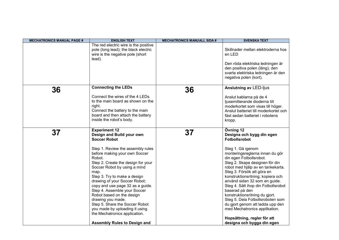| <b>MECHATRONICS MANUAL PAGE #</b> | <b>ENGLISH TEXT</b>                                                                                                                                                                                                                                                                                                                                                                                                                                    | <b>MECHATRONICS MANUALL SIDA #</b> | <b>SVENSKA TEXT</b>                                                                                                                                                                                                                                                                                                                                                                                                                                            |
|-----------------------------------|--------------------------------------------------------------------------------------------------------------------------------------------------------------------------------------------------------------------------------------------------------------------------------------------------------------------------------------------------------------------------------------------------------------------------------------------------------|------------------------------------|----------------------------------------------------------------------------------------------------------------------------------------------------------------------------------------------------------------------------------------------------------------------------------------------------------------------------------------------------------------------------------------------------------------------------------------------------------------|
|                                   | The red electric wire is the positive<br>pole (long lead); the black electric<br>wire is the negative pole (short<br>lead).                                                                                                                                                                                                                                                                                                                            |                                    | Skillnader mellan elektroderna hos<br>en LED                                                                                                                                                                                                                                                                                                                                                                                                                   |
|                                   |                                                                                                                                                                                                                                                                                                                                                                                                                                                        |                                    | Den röda elektriska ledningen är<br>den positiva polen (lång); den<br>svarta elektriska ledningen är den<br>negativa polen (kort).                                                                                                                                                                                                                                                                                                                             |
| 36                                | <b>Connecting the LEDs</b>                                                                                                                                                                                                                                                                                                                                                                                                                             | 36                                 | <b>Anslutning av LED-ljus</b>                                                                                                                                                                                                                                                                                                                                                                                                                                  |
|                                   | Connect the wires of the 4 LEDs<br>to the main board as shown on the<br>right.<br>Connect the battery to the main<br>board and then attach the battery<br>inside the robot's body.                                                                                                                                                                                                                                                                     |                                    | Anslut kablarna på de 4<br>ljusemitterande dioderna till<br>moderkortet som visas till höger.<br>Anslut batteriet till moderkortet och<br>fäst sedan batteriet i robotens<br>kropp.                                                                                                                                                                                                                                                                            |
| 37                                | <b>Experiment 12</b><br>Design and Build your own<br><b>Soccer Robot</b>                                                                                                                                                                                                                                                                                                                                                                               | 37                                 | Övning 12<br>Designa och bygg din egen<br><b>Fotbollsrobot</b>                                                                                                                                                                                                                                                                                                                                                                                                 |
|                                   | Step 1. Review the assembly rules<br>before making your own Soccer<br>Robot.<br>Step 2. Create the design for your<br>Soccer Robot by using a mind<br>map.<br>Step 3. Try to make a design<br>drawing of your Soccer Robot;<br>copy and use page 32 as a guide.<br>Step 4. Assemble your Soccer<br>Robot based on the design<br>drawing you made.<br>Step 5. Share the Soccer Robot<br>you made by uploading it using<br>the Mechatronics application. |                                    | Steg 1. Gå igenom<br>monteringsreglerna innan du gör<br>din egen Fotbollsrobot.<br>Steg 2. Skapa designen för din<br>robot med hjälp av en tankekarta.<br>Steg 3. Försök att göra en<br>konstruktionsritning; kopiera och<br>använd sidan 32 som en guide.<br>Steg 4. Sätt ihop din Fotbollsrobot<br>baserad på den<br>konstruktionsritning du gjort.<br>Steg 5. Dela Fotbollsroboten som<br>du gjort genom att ladda upp den<br>med Mechatronics applikation. |
|                                   | <b>Assembly Rules to Design and</b>                                                                                                                                                                                                                                                                                                                                                                                                                    |                                    | Hopsättning, regler för att<br>designa och bygga din egen                                                                                                                                                                                                                                                                                                                                                                                                      |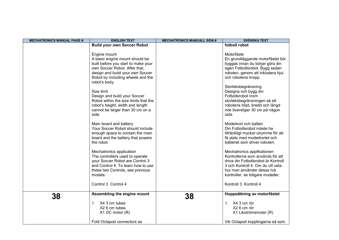| <b>MECHATRONICS MANUAL PAGE #</b> | <b>ENGLISH TEXT</b>                                                                                                                                                                                              | <b>MECHATRONICS MANUALL SIDA #</b> | <b>SVENSKA TEXT</b>                                                                                                                                                                                           |
|-----------------------------------|------------------------------------------------------------------------------------------------------------------------------------------------------------------------------------------------------------------|------------------------------------|---------------------------------------------------------------------------------------------------------------------------------------------------------------------------------------------------------------|
|                                   | <b>Build your own Soccer Robot</b>                                                                                                                                                                               |                                    | fotboll robot                                                                                                                                                                                                 |
|                                   | Engine mount<br>A basic engine mount should be<br>built before you start to make your<br>own Soccer Robot. After that,<br>design and build your own Soccer<br>Robot by including wheels and the<br>robot's body. |                                    | Motorfäste<br>En grundläggande motorfästet bör<br>byggas innan du börjar göra din<br>egen Fotbollsrobot. Bygg sedan<br>roboten, genom att inkludera hjul<br>och robotens kropp.<br>Storleksbegränsning        |
|                                   | Size limit<br>Design and build your Soccer<br>Robot within the size limits that the<br>robot's height, width and length<br>cannot be larger than 30 cm on a<br>side.                                             |                                    | Designa och bygg din<br>Fotbollsrobot inom<br>storleksbegränsningen så att<br>robotens höjd, bredd och längd<br>inte överstiger 30 cm på någon<br>sida.                                                       |
|                                   | Main board and battery<br>Your Soccer Robot should include<br>enough space to contain the main<br>board and the battery that powers<br>the robot.                                                                |                                    | Moderkort och batteri<br>Din Fotbollsrobot måste ha<br>tillräckligt mycket utrymme för att<br>få plats med moderkortet och<br>batteriet som driver roboten.                                                   |
|                                   | Mechatronics application<br>The controllers used to operate<br>your Soccer Robot are Control 3<br>and Control 4. To learn how to use<br>these two Controls, see previous<br>models.                              |                                    | Mechatronics applikationen<br>Kontrollerna som används för att<br>driva din Fotbollsrobot är Kontroll<br>3 och Kontroll 4. Om du vill veta<br>hur man använder dessa två<br>kontroller, se tidigare modeller. |
|                                   | Control 3 Control 4                                                                                                                                                                                              |                                    | Kontroll 3 Kontroll 4                                                                                                                                                                                         |
| 38                                | Assembling the engine mount<br>1. X4 3 cm tubes<br>X2 6 cm tubes<br>$X1$ DC motor $(R)$                                                                                                                          | 38                                 | Hoppsättning av motorfästet<br>1. X4 3 cm rör<br>X26 cm rör<br>X1 Likströmsmotor (R)                                                                                                                          |
|                                   | Fold Octapod connectors as                                                                                                                                                                                       |                                    | Vik Octapod kopplingarna så som                                                                                                                                                                               |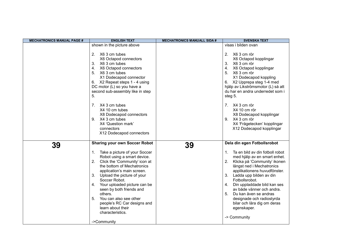| <b>MECHATRONICS MANUAL PAGE #</b> | <b>ENGLISH TEXT</b>                                                                                                                                                                                                                                                                                                                                                                                                                                                      | <b>MECHATRONICS MANUALL SIDA #</b> | <b>SVENSKA TEXT</b>                                                                                                                                                                                                                                                                                                                                                                                                                                 |
|-----------------------------------|--------------------------------------------------------------------------------------------------------------------------------------------------------------------------------------------------------------------------------------------------------------------------------------------------------------------------------------------------------------------------------------------------------------------------------------------------------------------------|------------------------------------|-----------------------------------------------------------------------------------------------------------------------------------------------------------------------------------------------------------------------------------------------------------------------------------------------------------------------------------------------------------------------------------------------------------------------------------------------------|
|                                   | shown in the picture above                                                                                                                                                                                                                                                                                                                                                                                                                                               |                                    | visas i bilden ovan                                                                                                                                                                                                                                                                                                                                                                                                                                 |
|                                   | 2. X6 3 cm tubes<br>X6 Octapod connectors<br>3.<br>X6 3 cm tubes<br>X6 Octapod connectors<br>4.<br>5.<br>X6 3 cm tubes<br>X1 Dodecapod connector<br>6. X2 Repeat steps 1 - 4 using<br>DC motor (L) so you have a<br>second sub-assembly like in step<br>5.                                                                                                                                                                                                               |                                    | X6 3 cm rör<br>2.<br>X6 Octapod kopplingar<br>3. X6 3 cm rör<br>X6 Octapod kopplingar<br>4.<br>5. X6 3 cm rör<br>X1 Dodecapod koppling<br>6. X2 Upprepa steg 1-4 med<br>hjälp av Likströmsmotor (L) så att<br>du har en andra underredet som i<br>steg 5.                                                                                                                                                                                           |
|                                   | 7. X4 3 cm tubes<br>X4 10 cm tubes<br>X8 Dodecapod connectors<br>9. X4 3 cm tubes<br>X4 'Question mark'<br>connectors<br>X12 Dodecapod connectors                                                                                                                                                                                                                                                                                                                        |                                    | 7. X4 3 cm rör<br>X4 10 cm rör<br>X8 Dodecapod kopplingar<br>9. X4 3 cm rör<br>X4 'Frågetecken' kopplingar<br>X12 Dodecapod kopplingar                                                                                                                                                                                                                                                                                                              |
| 39                                | <b>Sharing your own Soccer Robot</b><br>1. Take a picture of your Soccer<br>Robot using a smart device.<br>2.<br>Click the 'Community' icon at<br>the bottom of Mechatronics<br>application's main screen.<br>$3_{-}$<br>Upload the picture of your<br>Soccer Robot.<br>Your uploaded picture can be<br>4.<br>seen by both friends and<br>others.<br>5.<br>You can also see other<br>people's RC Car designs and<br>learn about their<br>characteristics.<br>->Community | 39                                 | Dela din egen Fotbollsrobot<br>Ta en bild av din fotboll robot<br>1.<br>med hjälp av en smart enhet.<br>2. Klicka på 'Community' ikonen<br>längst ned i Mechatronics<br>applikationens huvudfönster.<br>3.<br>Ladda upp bilden av din<br>Fotbollsrobot.<br>Din uppladdade bild kan ses<br>4.<br>av både vänner och andra.<br>Du kan även se andras<br>5.<br>designade och radiostyrda<br>bilar och lära dig om deras<br>egenskaper.<br>-> Community |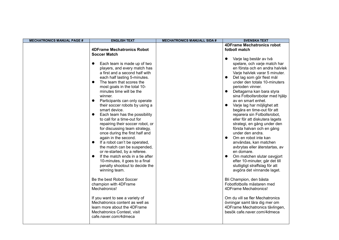| <b>MECHATRONICS MANUAL PAGE #</b> | <b>ENGLISH TEXT</b>                                                                                                                                                                                                                                                                                                                                                                                                                                                                                                                                                                                                                                                                                                                                                                                                                                  | <b>MECHATRONICS MANUALL SIDA #</b> | <b>SVENSKA TEXT</b>                                                                                                                                                                                                                                                                                                                                                                                                                                                                                                                                                                                                                                                                                                                                                                                                |
|-----------------------------------|------------------------------------------------------------------------------------------------------------------------------------------------------------------------------------------------------------------------------------------------------------------------------------------------------------------------------------------------------------------------------------------------------------------------------------------------------------------------------------------------------------------------------------------------------------------------------------------------------------------------------------------------------------------------------------------------------------------------------------------------------------------------------------------------------------------------------------------------------|------------------------------------|--------------------------------------------------------------------------------------------------------------------------------------------------------------------------------------------------------------------------------------------------------------------------------------------------------------------------------------------------------------------------------------------------------------------------------------------------------------------------------------------------------------------------------------------------------------------------------------------------------------------------------------------------------------------------------------------------------------------------------------------------------------------------------------------------------------------|
|                                   | <b>4DFrame Mechatronics Robot</b><br><b>Soccer Match</b>                                                                                                                                                                                                                                                                                                                                                                                                                                                                                                                                                                                                                                                                                                                                                                                             |                                    | <b>4DFrame Mechatronics robot</b><br>fotboll match                                                                                                                                                                                                                                                                                                                                                                                                                                                                                                                                                                                                                                                                                                                                                                 |
|                                   | Each team is made up of two<br>$\bullet$<br>players, and every match has<br>a first and a second half with<br>each half lasting 5-minutes.<br>The team that scores the<br>$\bullet$<br>most goals in the total 10-<br>minutes time will be the<br>winner.<br>Participants can only operate<br>$\bullet$<br>their soccer robots by using a<br>smart device.<br>Each team has the possibility<br>$\bullet$<br>to call for a time-out for<br>repairing their soccer robot, or<br>for discussing team strategy,<br>once during the first half and<br>again in the second.<br>If a robot can't be operated,<br>$\bullet$<br>the match can be suspended,<br>or re-started, by a referee.<br>If the match ends in a tie after<br>$\bullet$<br>10-minutes, it goes to a final<br>penalty shootout to decide the<br>winning team.<br>Be the best Robot Soccer |                                    | Varje lag består av två<br>$\bullet$<br>spelare, och varje match har<br>en första och en andra halvlek<br>Varje halvlek varar 5 minuter.<br>Det lag som gör flest mål<br>under den totala 10-minuters<br>perioden vinner.<br>Deltagarna kan bara styra<br>sina Fotbollsrobotar med hjälp<br>av en smart enhet.<br>Varje lag har möjlighet att<br>$\bullet$<br>begära en time-out för att<br>reparera sin Fotbollsrobot,<br>eller för att diskutera lagets<br>strategi, en gång under den<br>första halvan och en gång<br>under den andra.<br>Om en robot inte kan<br>$\bullet$<br>användas, kan matchen<br>avbrytas eller återstartas, av<br>en domare.<br>Om matchen slutar oavgjort<br>efter 10-minuter, går det till<br>slutligtigt straffslag för att<br>avgöra det vinnande laget.<br>Bli Champion, den bästa |
|                                   | champion with 4DFrame<br>Mechatronics!                                                                                                                                                                                                                                                                                                                                                                                                                                                                                                                                                                                                                                                                                                                                                                                                               |                                    | Fobotfotbolls mästaren med<br>4DFrame Mechatronics!                                                                                                                                                                                                                                                                                                                                                                                                                                                                                                                                                                                                                                                                                                                                                                |
|                                   | If you want to see a variety of<br>Mechatronics content as well as<br>learn more about the 4DFrame<br>Mechatronics Contest, visit<br>cafe.naver.com/4dmeca                                                                                                                                                                                                                                                                                                                                                                                                                                                                                                                                                                                                                                                                                           |                                    | Om du vill se fler Mechatronics<br>övningar samt lära dig mer om<br>4DFrame Mechatronics tävlingen,<br>besök cafe.naver.com/4dmeca                                                                                                                                                                                                                                                                                                                                                                                                                                                                                                                                                                                                                                                                                 |